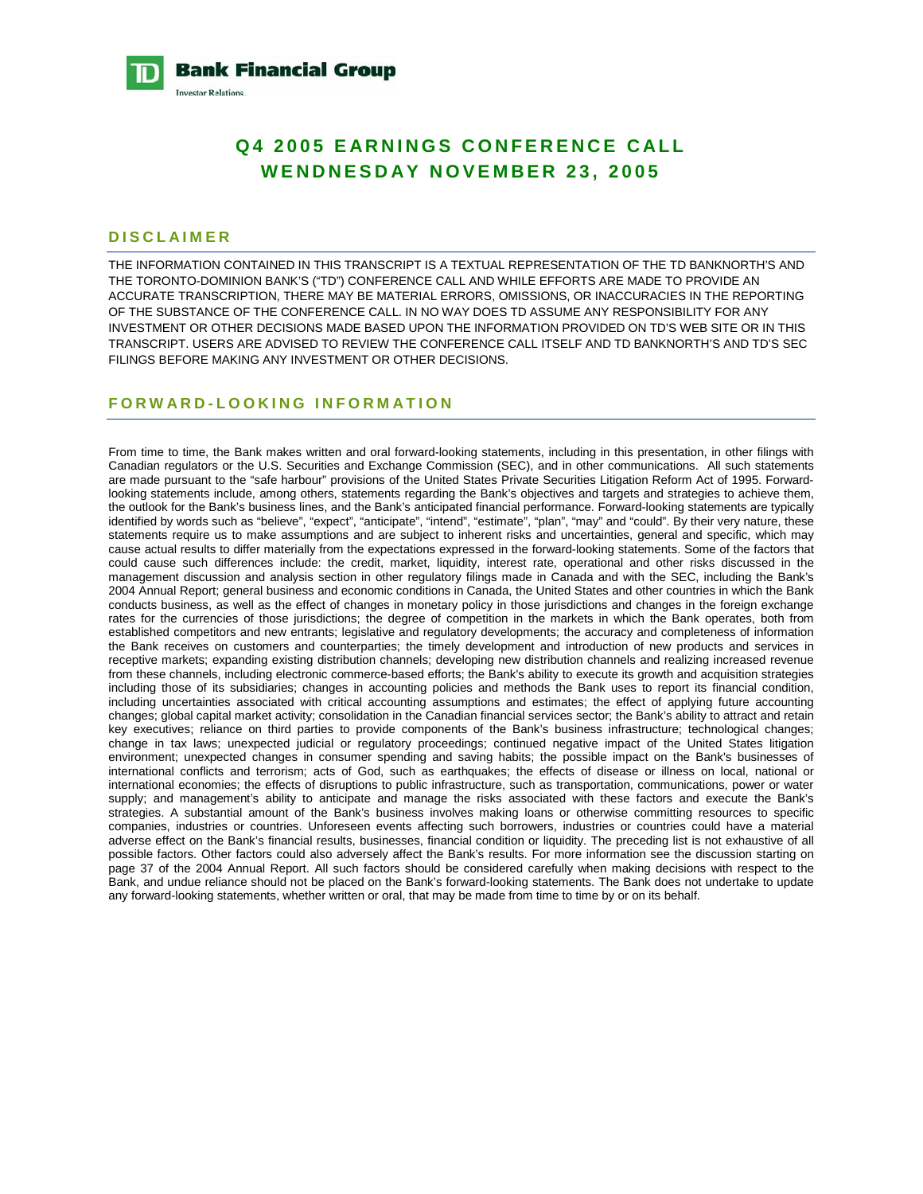

# **Q4 2005 EARNINGS CONFERENCE CALL WENDNESDAY NOVEMBER 23, 2005**

# **DISCLAIMER**

**Investor Relations** 

THE INFORMATION CONTAINED IN THIS TRANSCRIPT IS A TEXTUAL REPRESENTATION OF THE TD BANKNORTH'S AND THE TORONTO-DOMINION BANK'S ("TD") CONFERENCE CALL AND WHILE EFFORTS ARE MADE TO PROVIDE AN ACCURATE TRANSCRIPTION, THERE MAY BE MATERIAL ERRORS, OMISSIONS, OR INACCURACIES IN THE REPORTING OF THE SUBSTANCE OF THE CONFERENCE CALL. IN NO WAY DOES TD ASSUME ANY RESPONSIBILITY FOR ANY INVESTMENT OR OTHER DECISIONS MADE BASED UPON THE INFORMATION PROVIDED ON TD'S WEB SITE OR IN THIS TRANSCRIPT. USERS ARE ADVISED TO REVIEW THE CONFERENCE CALL ITSELF AND TD BANKNORTH'S AND TD'S SEC FILINGS BEFORE MAKING ANY INVESTMENT OR OTHER DECISIONS.

# **FORWARD-LOOKING INFORMATION**

From time to time, the Bank makes written and oral forward-looking statements, including in this presentation, in other filings with Canadian regulators or the U.S. Securities and Exchange Commission (SEC), and in other communications. All such statements are made pursuant to the "safe harbour" provisions of the United States Private Securities Litigation Reform Act of 1995. Forwardlooking statements include, among others, statements regarding the Bank's objectives and targets and strategies to achieve them, the outlook for the Bank's business lines, and the Bank's anticipated financial performance. Forward-looking statements are typically identified by words such as "believe", "expect", "anticipate", "intend", "estimate", "plan", "may" and "could". By their very nature, these statements require us to make assumptions and are subject to inherent risks and uncertainties, general and specific, which may cause actual results to differ materially from the expectations expressed in the forward-looking statements. Some of the factors that could cause such differences include: the credit, market, liquidity, interest rate, operational and other risks discussed in the management discussion and analysis section in other regulatory filings made in Canada and with the SEC, including the Bank's 2004 Annual Report; general business and economic conditions in Canada, the United States and other countries in which the Bank conducts business, as well as the effect of changes in monetary policy in those jurisdictions and changes in the foreign exchange rates for the currencies of those jurisdictions; the degree of competition in the markets in which the Bank operates, both from established competitors and new entrants; legislative and regulatory developments; the accuracy and completeness of information the Bank receives on customers and counterparties; the timely development and introduction of new products and services in receptive markets; expanding existing distribution channels; developing new distribution channels and realizing increased revenue from these channels, including electronic commerce-based efforts; the Bank's ability to execute its growth and acquisition strategies including those of its subsidiaries; changes in accounting policies and methods the Bank uses to report its financial condition, including uncertainties associated with critical accounting assumptions and estimates; the effect of applying future accounting changes; global capital market activity; consolidation in the Canadian financial services sector; the Bank's ability to attract and retain key executives; reliance on third parties to provide components of the Bank's business infrastructure; technological changes; change in tax laws; unexpected judicial or regulatory proceedings; continued negative impact of the United States litigation environment; unexpected changes in consumer spending and saving habits; the possible impact on the Bank's businesses of international conflicts and terrorism; acts of God, such as earthquakes; the effects of disease or illness on local, national or international economies; the effects of disruptions to public infrastructure, such as transportation, communications, power or water supply; and management's ability to anticipate and manage the risks associated with these factors and execute the Bank's strategies. A substantial amount of the Bank's business involves making loans or otherwise committing resources to specific companies, industries or countries. Unforeseen events affecting such borrowers, industries or countries could have a material adverse effect on the Bank's financial results, businesses, financial condition or liquidity. The preceding list is not exhaustive of all possible factors. Other factors could also adversely affect the Bank's results. For more information see the discussion starting on page 37 of the 2004 Annual Report. All such factors should be considered carefully when making decisions with respect to the Bank, and undue reliance should not be placed on the Bank's forward-looking statements. The Bank does not undertake to update any forward-looking statements, whether written or oral, that may be made from time to time by or on its behalf.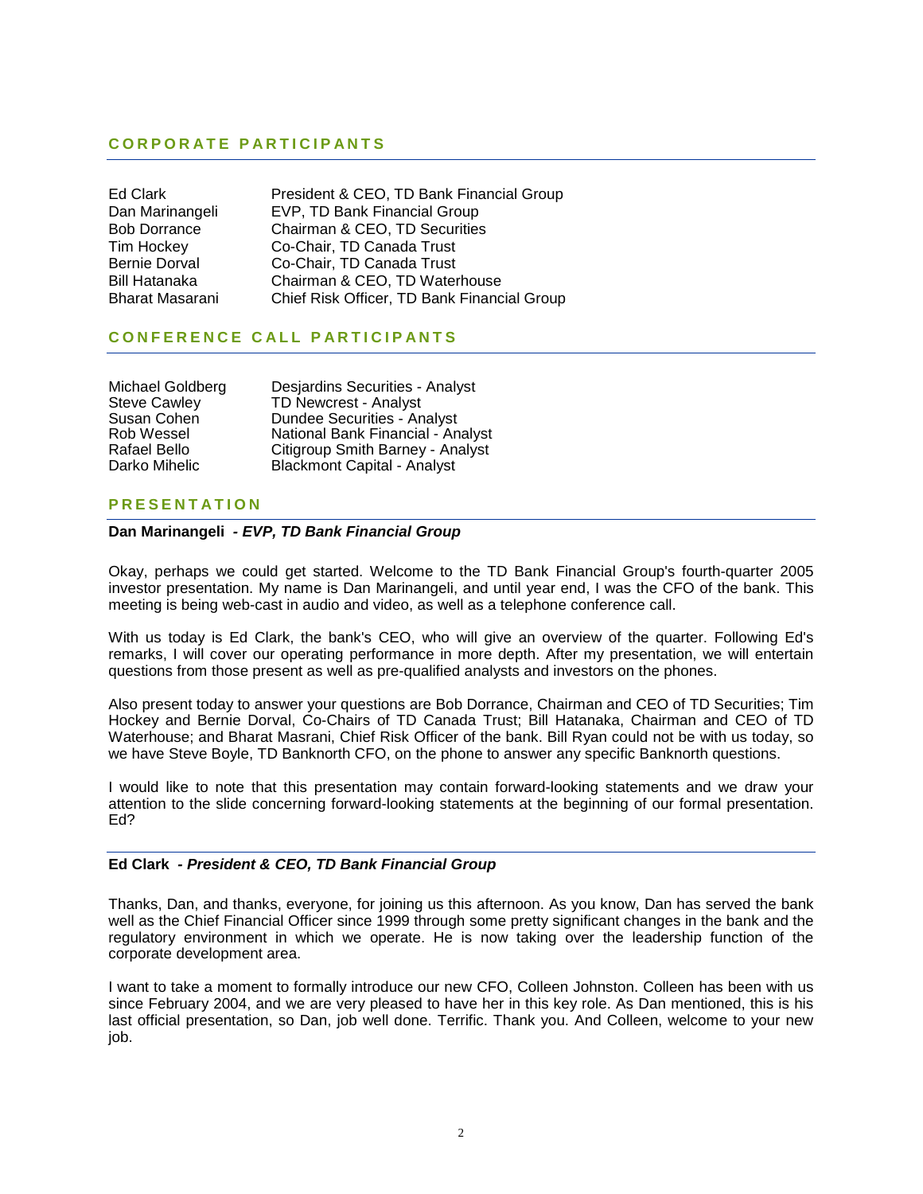# **CORPORATE PARTICIPANTS**

| Ed Clark             |
|----------------------|
| Dan Marinangeli      |
| Bob Dorrance         |
| <b>Tim Hockey</b>    |
| <b>Bernie Dorval</b> |
| Bill Hatanaka        |
| Bharat Masarani      |

President & CEO, TD Bank Financial Group EVP, TD Bank Financial Group Chairman & CEO, TD Securities Co-Chair, TD Canada Trust Co-Chair, TD Canada Trust Chairman & CEO, TD Waterhouse Chief Risk Officer, TD Bank Financial Group

# **CONFERENCE CALL PARTICIPANTS**

| Michael Goldberg    | Desjardins Securities - Analyst    |
|---------------------|------------------------------------|
| <b>Steve Cawley</b> | <b>TD Newcrest - Analyst</b>       |
| Susan Cohen         | <b>Dundee Securities - Analyst</b> |
| Rob Wessel          | National Bank Financial - Analyst  |
| Rafael Bello        | Citigroup Smith Barney - Analyst   |
| Darko Mihelic       | <b>Blackmont Capital - Analyst</b> |

# **PRESENTATION**

# **Dan Marinangeli** *- EVP, TD Bank Financial Group*

Okay, perhaps we could get started. Welcome to the TD Bank Financial Group's fourth-quarter 2005 investor presentation. My name is Dan Marinangeli, and until year end, I was the CFO of the bank. This meeting is being web-cast in audio and video, as well as a telephone conference call.

With us today is Ed Clark, the bank's CEO, who will give an overview of the quarter. Following Ed's remarks, I will cover our operating performance in more depth. After my presentation, we will entertain questions from those present as well as pre-qualified analysts and investors on the phones.

Also present today to answer your questions are Bob Dorrance, Chairman and CEO of TD Securities; Tim Hockey and Bernie Dorval, Co-Chairs of TD Canada Trust; Bill Hatanaka, Chairman and CEO of TD Waterhouse; and Bharat Masrani, Chief Risk Officer of the bank. Bill Ryan could not be with us today, so we have Steve Boyle, TD Banknorth CFO, on the phone to answer any specific Banknorth questions.

I would like to note that this presentation may contain forward-looking statements and we draw your attention to the slide concerning forward-looking statements at the beginning of our formal presentation. Ed?

# **Ed Clark** *- President & CEO, TD Bank Financial Group*

Thanks, Dan, and thanks, everyone, for joining us this afternoon. As you know, Dan has served the bank well as the Chief Financial Officer since 1999 through some pretty significant changes in the bank and the regulatory environment in which we operate. He is now taking over the leadership function of the corporate development area.

I want to take a moment to formally introduce our new CFO, Colleen Johnston. Colleen has been with us since February 2004, and we are very pleased to have her in this key role. As Dan mentioned, this is his last official presentation, so Dan, job well done. Terrific. Thank you. And Colleen, welcome to your new job.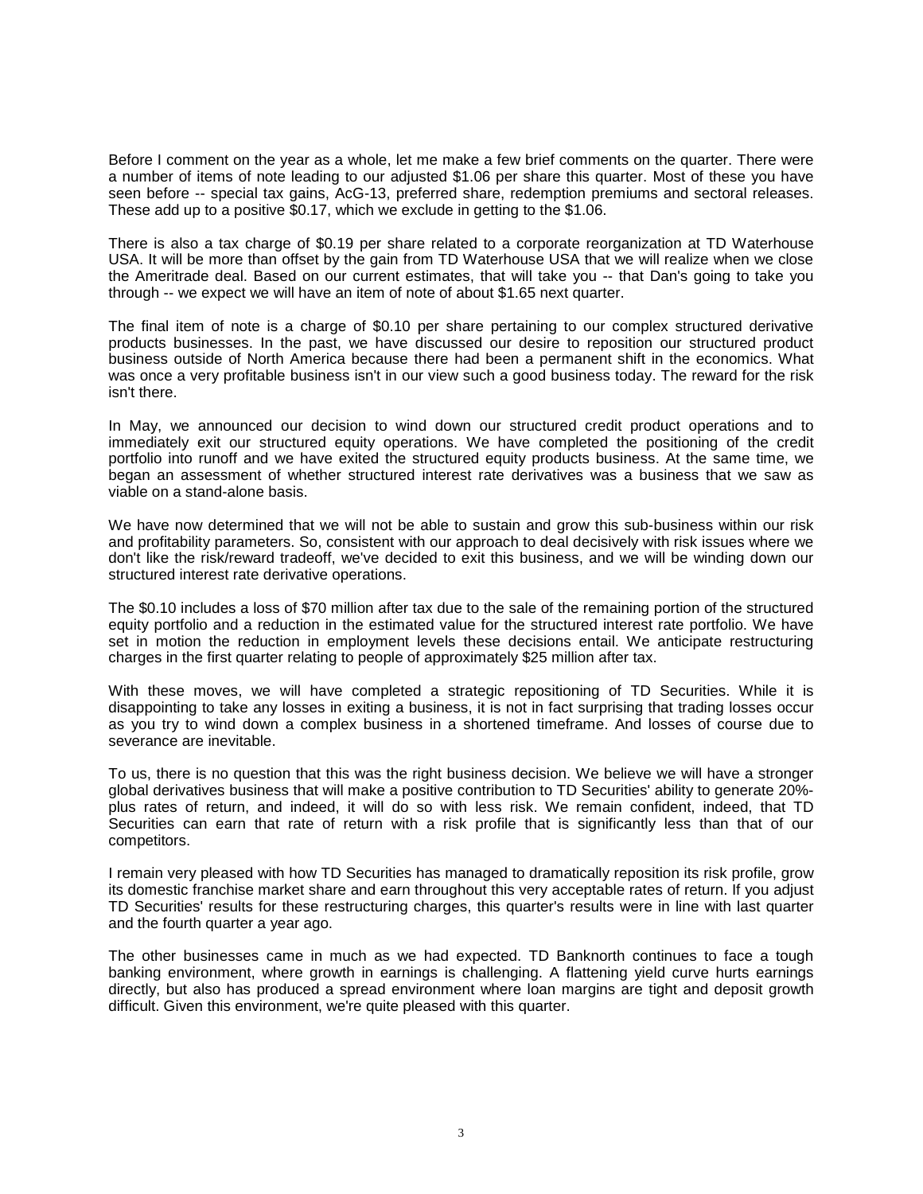Before I comment on the year as a whole, let me make a few brief comments on the quarter. There were a number of items of note leading to our adjusted \$1.06 per share this quarter. Most of these you have seen before -- special tax gains, AcG-13, preferred share, redemption premiums and sectoral releases. These add up to a positive \$0.17, which we exclude in getting to the \$1.06.

There is also a tax charge of \$0.19 per share related to a corporate reorganization at TD Waterhouse USA. It will be more than offset by the gain from TD Waterhouse USA that we will realize when we close the Ameritrade deal. Based on our current estimates, that will take you -- that Dan's going to take you through -- we expect we will have an item of note of about \$1.65 next quarter.

The final item of note is a charge of \$0.10 per share pertaining to our complex structured derivative products businesses. In the past, we have discussed our desire to reposition our structured product business outside of North America because there had been a permanent shift in the economics. What was once a very profitable business isn't in our view such a good business today. The reward for the risk isn't there.

In May, we announced our decision to wind down our structured credit product operations and to immediately exit our structured equity operations. We have completed the positioning of the credit portfolio into runoff and we have exited the structured equity products business. At the same time, we began an assessment of whether structured interest rate derivatives was a business that we saw as viable on a stand-alone basis.

We have now determined that we will not be able to sustain and grow this sub-business within our risk and profitability parameters. So, consistent with our approach to deal decisively with risk issues where we don't like the risk/reward tradeoff, we've decided to exit this business, and we will be winding down our structured interest rate derivative operations.

The \$0.10 includes a loss of \$70 million after tax due to the sale of the remaining portion of the structured equity portfolio and a reduction in the estimated value for the structured interest rate portfolio. We have set in motion the reduction in employment levels these decisions entail. We anticipate restructuring charges in the first quarter relating to people of approximately \$25 million after tax.

With these moves, we will have completed a strategic repositioning of TD Securities. While it is disappointing to take any losses in exiting a business, it is not in fact surprising that trading losses occur as you try to wind down a complex business in a shortened timeframe. And losses of course due to severance are inevitable.

To us, there is no question that this was the right business decision. We believe we will have a stronger global derivatives business that will make a positive contribution to TD Securities' ability to generate 20% plus rates of return, and indeed, it will do so with less risk. We remain confident, indeed, that TD Securities can earn that rate of return with a risk profile that is significantly less than that of our competitors.

I remain very pleased with how TD Securities has managed to dramatically reposition its risk profile, grow its domestic franchise market share and earn throughout this very acceptable rates of return. If you adjust TD Securities' results for these restructuring charges, this quarter's results were in line with last quarter and the fourth quarter a year ago.

The other businesses came in much as we had expected. TD Banknorth continues to face a tough banking environment, where growth in earnings is challenging. A flattening yield curve hurts earnings directly, but also has produced a spread environment where loan margins are tight and deposit growth difficult. Given this environment, we're quite pleased with this quarter.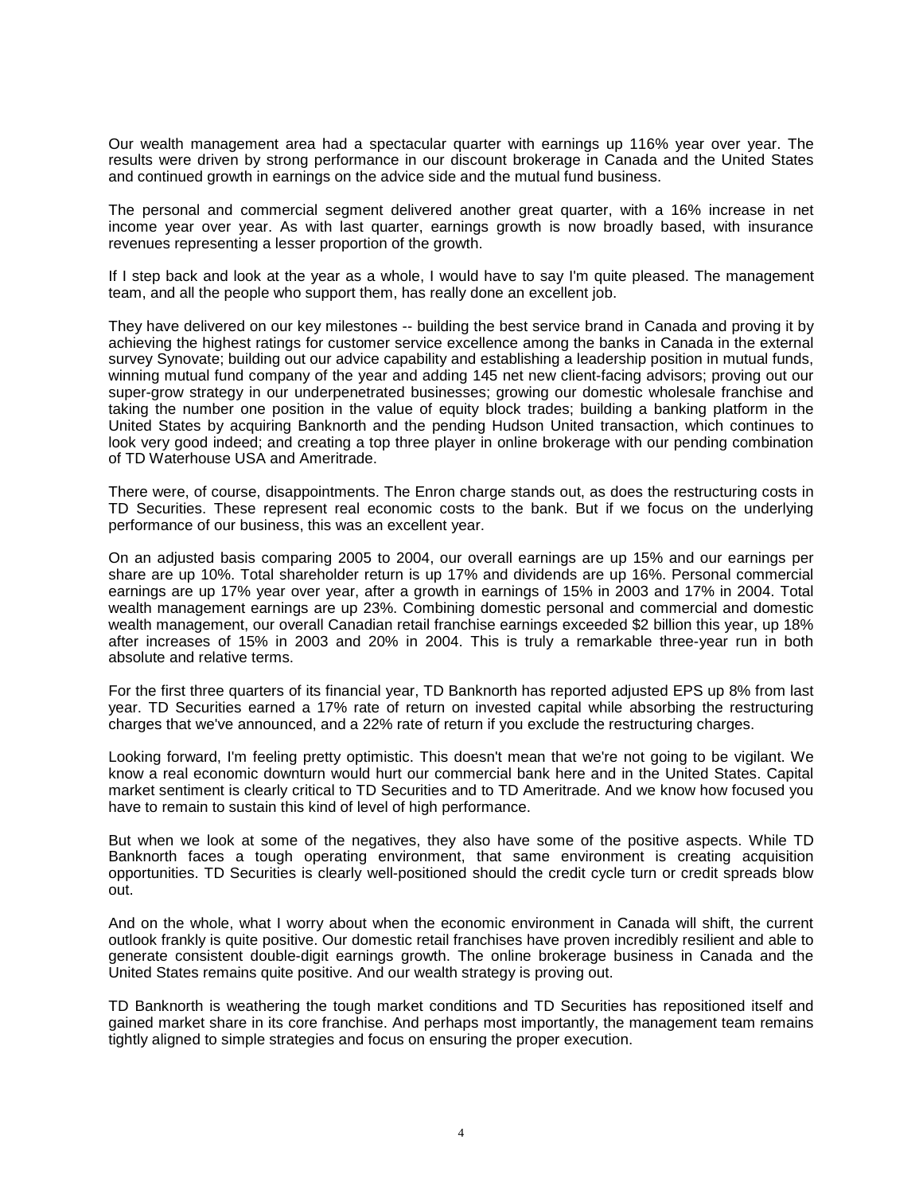Our wealth management area had a spectacular quarter with earnings up 116% year over year. The results were driven by strong performance in our discount brokerage in Canada and the United States and continued growth in earnings on the advice side and the mutual fund business.

The personal and commercial segment delivered another great quarter, with a 16% increase in net income year over year. As with last quarter, earnings growth is now broadly based, with insurance revenues representing a lesser proportion of the growth.

If I step back and look at the year as a whole, I would have to say I'm quite pleased. The management team, and all the people who support them, has really done an excellent job.

They have delivered on our key milestones -- building the best service brand in Canada and proving it by achieving the highest ratings for customer service excellence among the banks in Canada in the external survey Synovate; building out our advice capability and establishing a leadership position in mutual funds, winning mutual fund company of the year and adding 145 net new client-facing advisors; proving out our super-grow strategy in our underpenetrated businesses; growing our domestic wholesale franchise and taking the number one position in the value of equity block trades; building a banking platform in the United States by acquiring Banknorth and the pending Hudson United transaction, which continues to look very good indeed; and creating a top three player in online brokerage with our pending combination of TD Waterhouse USA and Ameritrade.

There were, of course, disappointments. The Enron charge stands out, as does the restructuring costs in TD Securities. These represent real economic costs to the bank. But if we focus on the underlying performance of our business, this was an excellent year.

On an adjusted basis comparing 2005 to 2004, our overall earnings are up 15% and our earnings per share are up 10%. Total shareholder return is up 17% and dividends are up 16%. Personal commercial earnings are up 17% year over year, after a growth in earnings of 15% in 2003 and 17% in 2004. Total wealth management earnings are up 23%. Combining domestic personal and commercial and domestic wealth management, our overall Canadian retail franchise earnings exceeded \$2 billion this year, up 18% after increases of 15% in 2003 and 20% in 2004. This is truly a remarkable three-year run in both absolute and relative terms.

For the first three quarters of its financial year, TD Banknorth has reported adjusted EPS up 8% from last year. TD Securities earned a 17% rate of return on invested capital while absorbing the restructuring charges that we've announced, and a 22% rate of return if you exclude the restructuring charges.

Looking forward, I'm feeling pretty optimistic. This doesn't mean that we're not going to be vigilant. We know a real economic downturn would hurt our commercial bank here and in the United States. Capital market sentiment is clearly critical to TD Securities and to TD Ameritrade. And we know how focused you have to remain to sustain this kind of level of high performance.

But when we look at some of the negatives, they also have some of the positive aspects. While TD Banknorth faces a tough operating environment, that same environment is creating acquisition opportunities. TD Securities is clearly well-positioned should the credit cycle turn or credit spreads blow out.

And on the whole, what I worry about when the economic environment in Canada will shift, the current outlook frankly is quite positive. Our domestic retail franchises have proven incredibly resilient and able to generate consistent double-digit earnings growth. The online brokerage business in Canada and the United States remains quite positive. And our wealth strategy is proving out.

TD Banknorth is weathering the tough market conditions and TD Securities has repositioned itself and gained market share in its core franchise. And perhaps most importantly, the management team remains tightly aligned to simple strategies and focus on ensuring the proper execution.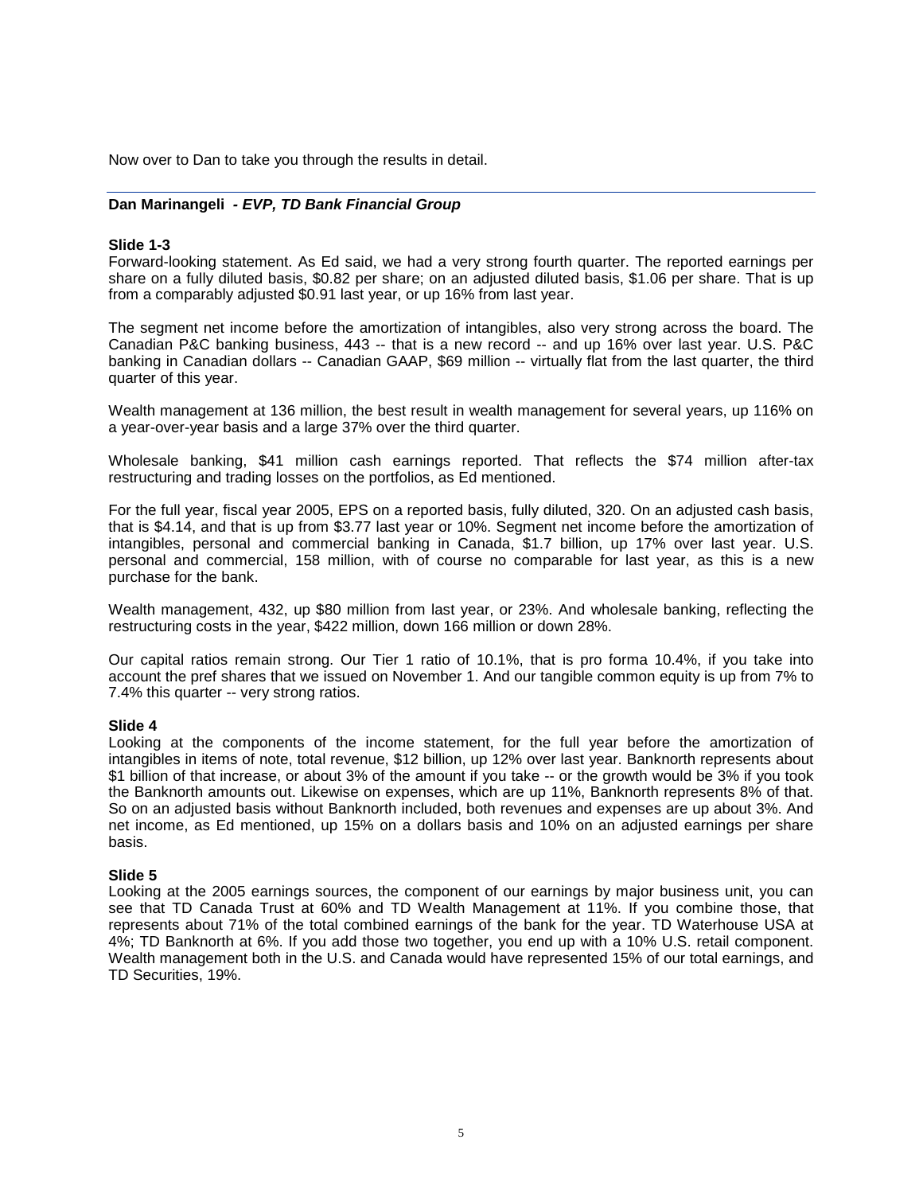Now over to Dan to take you through the results in detail.

# **Dan Marinangeli** *- EVP, TD Bank Financial Group*

# **Slide 1-3**

Forward-looking statement. As Ed said, we had a very strong fourth quarter. The reported earnings per share on a fully diluted basis, \$0.82 per share; on an adjusted diluted basis, \$1.06 per share. That is up from a comparably adjusted \$0.91 last year, or up 16% from last year.

The segment net income before the amortization of intangibles, also very strong across the board. The Canadian P&C banking business, 443 -- that is a new record -- and up 16% over last year. U.S. P&C banking in Canadian dollars -- Canadian GAAP, \$69 million -- virtually flat from the last quarter, the third quarter of this year.

Wealth management at 136 million, the best result in wealth management for several years, up 116% on a year-over-year basis and a large 37% over the third quarter.

Wholesale banking, \$41 million cash earnings reported. That reflects the \$74 million after-tax restructuring and trading losses on the portfolios, as Ed mentioned.

For the full year, fiscal year 2005, EPS on a reported basis, fully diluted, 320. On an adjusted cash basis, that is \$4.14, and that is up from \$3.77 last year or 10%. Segment net income before the amortization of intangibles, personal and commercial banking in Canada, \$1.7 billion, up 17% over last year. U.S. personal and commercial, 158 million, with of course no comparable for last year, as this is a new purchase for the bank.

Wealth management, 432, up \$80 million from last year, or 23%. And wholesale banking, reflecting the restructuring costs in the year, \$422 million, down 166 million or down 28%.

Our capital ratios remain strong. Our Tier 1 ratio of 10.1%, that is pro forma 10.4%, if you take into account the pref shares that we issued on November 1. And our tangible common equity is up from 7% to 7.4% this quarter -- very strong ratios.

### **Slide 4**

Looking at the components of the income statement, for the full year before the amortization of intangibles in items of note, total revenue, \$12 billion, up 12% over last year. Banknorth represents about \$1 billion of that increase, or about 3% of the amount if you take -- or the growth would be 3% if you took the Banknorth amounts out. Likewise on expenses, which are up 11%, Banknorth represents 8% of that. So on an adjusted basis without Banknorth included, both revenues and expenses are up about 3%. And net income, as Ed mentioned, up 15% on a dollars basis and 10% on an adjusted earnings per share basis.

#### **Slide 5**

Looking at the 2005 earnings sources, the component of our earnings by major business unit, you can see that TD Canada Trust at 60% and TD Wealth Management at 11%. If you combine those, that represents about 71% of the total combined earnings of the bank for the year. TD Waterhouse USA at 4%; TD Banknorth at 6%. If you add those two together, you end up with a 10% U.S. retail component. Wealth management both in the U.S. and Canada would have represented 15% of our total earnings, and TD Securities, 19%.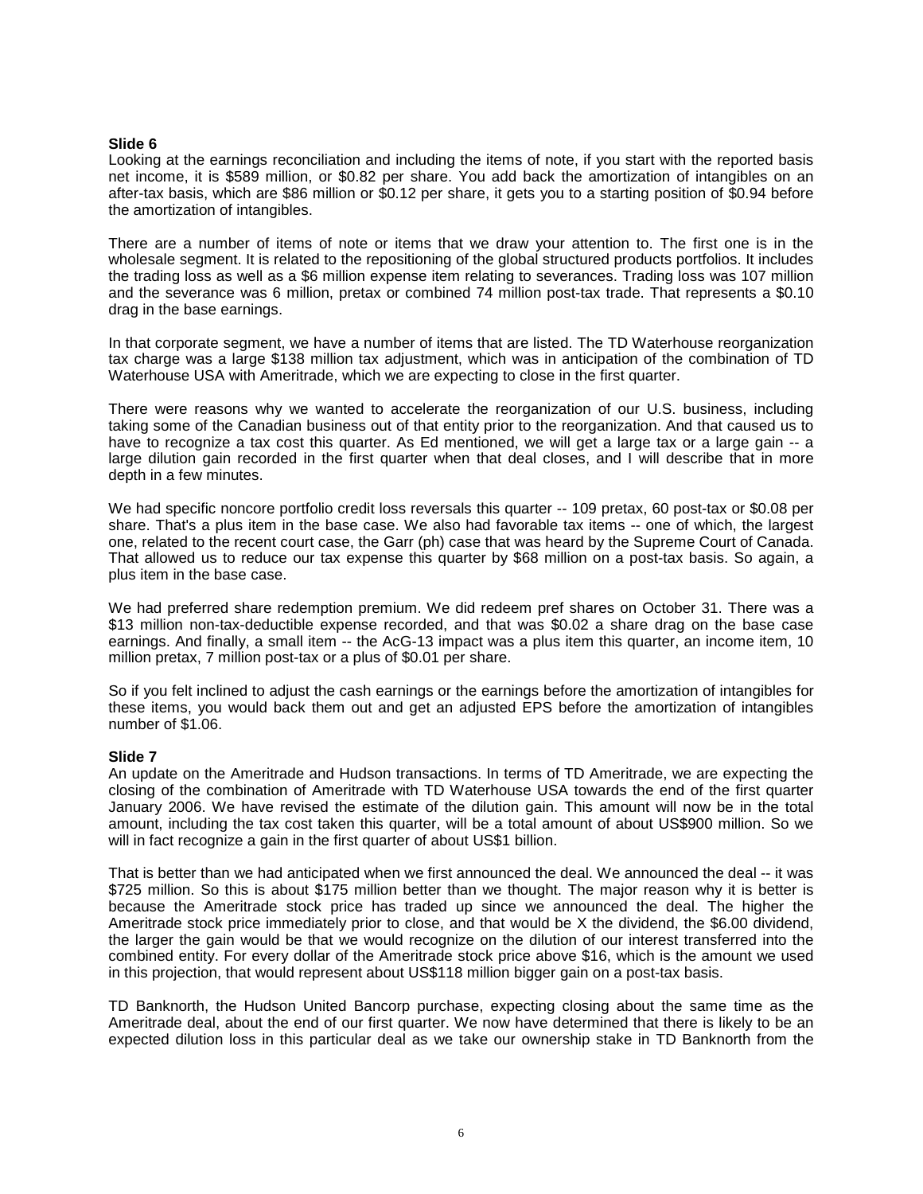# **Slide 6**

Looking at the earnings reconciliation and including the items of note, if you start with the reported basis net income, it is \$589 million, or \$0.82 per share. You add back the amortization of intangibles on an after-tax basis, which are \$86 million or \$0.12 per share, it gets you to a starting position of \$0.94 before the amortization of intangibles.

There are a number of items of note or items that we draw your attention to. The first one is in the wholesale segment. It is related to the repositioning of the global structured products portfolios. It includes the trading loss as well as a \$6 million expense item relating to severances. Trading loss was 107 million and the severance was 6 million, pretax or combined 74 million post-tax trade. That represents a \$0.10 drag in the base earnings.

In that corporate segment, we have a number of items that are listed. The TD Waterhouse reorganization tax charge was a large \$138 million tax adjustment, which was in anticipation of the combination of TD Waterhouse USA with Ameritrade, which we are expecting to close in the first quarter.

There were reasons why we wanted to accelerate the reorganization of our U.S. business, including taking some of the Canadian business out of that entity prior to the reorganization. And that caused us to have to recognize a tax cost this quarter. As Ed mentioned, we will get a large tax or a large gain -- a large dilution gain recorded in the first quarter when that deal closes, and I will describe that in more depth in a few minutes.

We had specific noncore portfolio credit loss reversals this quarter -- 109 pretax, 60 post-tax or \$0.08 per share. That's a plus item in the base case. We also had favorable tax items -- one of which, the largest one, related to the recent court case, the Garr (ph) case that was heard by the Supreme Court of Canada. That allowed us to reduce our tax expense this quarter by \$68 million on a post-tax basis. So again, a plus item in the base case.

We had preferred share redemption premium. We did redeem pref shares on October 31. There was a \$13 million non-tax-deductible expense recorded, and that was \$0.02 a share drag on the base case earnings. And finally, a small item -- the AcG-13 impact was a plus item this quarter, an income item, 10 million pretax, 7 million post-tax or a plus of \$0.01 per share.

So if you felt inclined to adjust the cash earnings or the earnings before the amortization of intangibles for these items, you would back them out and get an adjusted EPS before the amortization of intangibles number of \$1.06.

#### **Slide 7**

An update on the Ameritrade and Hudson transactions. In terms of TD Ameritrade, we are expecting the closing of the combination of Ameritrade with TD Waterhouse USA towards the end of the first quarter January 2006. We have revised the estimate of the dilution gain. This amount will now be in the total amount, including the tax cost taken this quarter, will be a total amount of about US\$900 million. So we will in fact recognize a gain in the first quarter of about US\$1 billion.

That is better than we had anticipated when we first announced the deal. We announced the deal -- it was \$725 million. So this is about \$175 million better than we thought. The major reason why it is better is because the Ameritrade stock price has traded up since we announced the deal. The higher the Ameritrade stock price immediately prior to close, and that would be X the dividend, the \$6.00 dividend, the larger the gain would be that we would recognize on the dilution of our interest transferred into the combined entity. For every dollar of the Ameritrade stock price above \$16, which is the amount we used in this projection, that would represent about US\$118 million bigger gain on a post-tax basis.

TD Banknorth, the Hudson United Bancorp purchase, expecting closing about the same time as the Ameritrade deal, about the end of our first quarter. We now have determined that there is likely to be an expected dilution loss in this particular deal as we take our ownership stake in TD Banknorth from the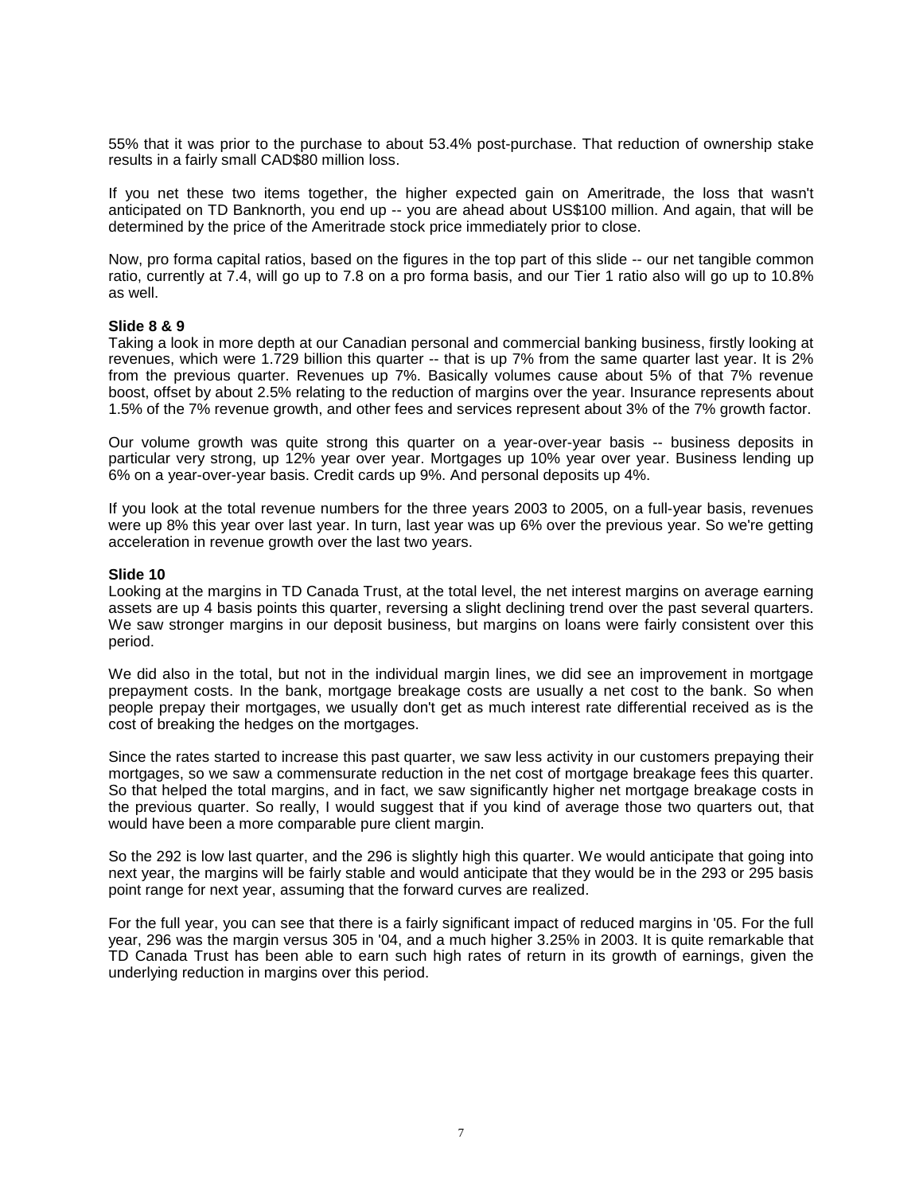55% that it was prior to the purchase to about 53.4% post-purchase. That reduction of ownership stake results in a fairly small CAD\$80 million loss.

If you net these two items together, the higher expected gain on Ameritrade, the loss that wasn't anticipated on TD Banknorth, you end up -- you are ahead about US\$100 million. And again, that will be determined by the price of the Ameritrade stock price immediately prior to close.

Now, pro forma capital ratios, based on the figures in the top part of this slide -- our net tangible common ratio, currently at 7.4, will go up to 7.8 on a pro forma basis, and our Tier 1 ratio also will go up to 10.8% as well.

#### **Slide 8 & 9**

Taking a look in more depth at our Canadian personal and commercial banking business, firstly looking at revenues, which were 1.729 billion this quarter -- that is up 7% from the same quarter last year. It is 2% from the previous quarter. Revenues up 7%. Basically volumes cause about 5% of that 7% revenue boost, offset by about 2.5% relating to the reduction of margins over the year. Insurance represents about 1.5% of the 7% revenue growth, and other fees and services represent about 3% of the 7% growth factor.

Our volume growth was quite strong this quarter on a year-over-year basis -- business deposits in particular very strong, up 12% year over year. Mortgages up 10% year over year. Business lending up 6% on a year-over-year basis. Credit cards up 9%. And personal deposits up 4%.

If you look at the total revenue numbers for the three years 2003 to 2005, on a full-year basis, revenues were up 8% this year over last year. In turn, last year was up 6% over the previous year. So we're getting acceleration in revenue growth over the last two years.

#### **Slide 10**

Looking at the margins in TD Canada Trust, at the total level, the net interest margins on average earning assets are up 4 basis points this quarter, reversing a slight declining trend over the past several quarters. We saw stronger margins in our deposit business, but margins on loans were fairly consistent over this period.

We did also in the total, but not in the individual margin lines, we did see an improvement in mortgage prepayment costs. In the bank, mortgage breakage costs are usually a net cost to the bank. So when people prepay their mortgages, we usually don't get as much interest rate differential received as is the cost of breaking the hedges on the mortgages.

Since the rates started to increase this past quarter, we saw less activity in our customers prepaying their mortgages, so we saw a commensurate reduction in the net cost of mortgage breakage fees this quarter. So that helped the total margins, and in fact, we saw significantly higher net mortgage breakage costs in the previous quarter. So really, I would suggest that if you kind of average those two quarters out, that would have been a more comparable pure client margin.

So the 292 is low last quarter, and the 296 is slightly high this quarter. We would anticipate that going into next year, the margins will be fairly stable and would anticipate that they would be in the 293 or 295 basis point range for next year, assuming that the forward curves are realized.

For the full year, you can see that there is a fairly significant impact of reduced margins in '05. For the full year, 296 was the margin versus 305 in '04, and a much higher 3.25% in 2003. It is quite remarkable that TD Canada Trust has been able to earn such high rates of return in its growth of earnings, given the underlying reduction in margins over this period.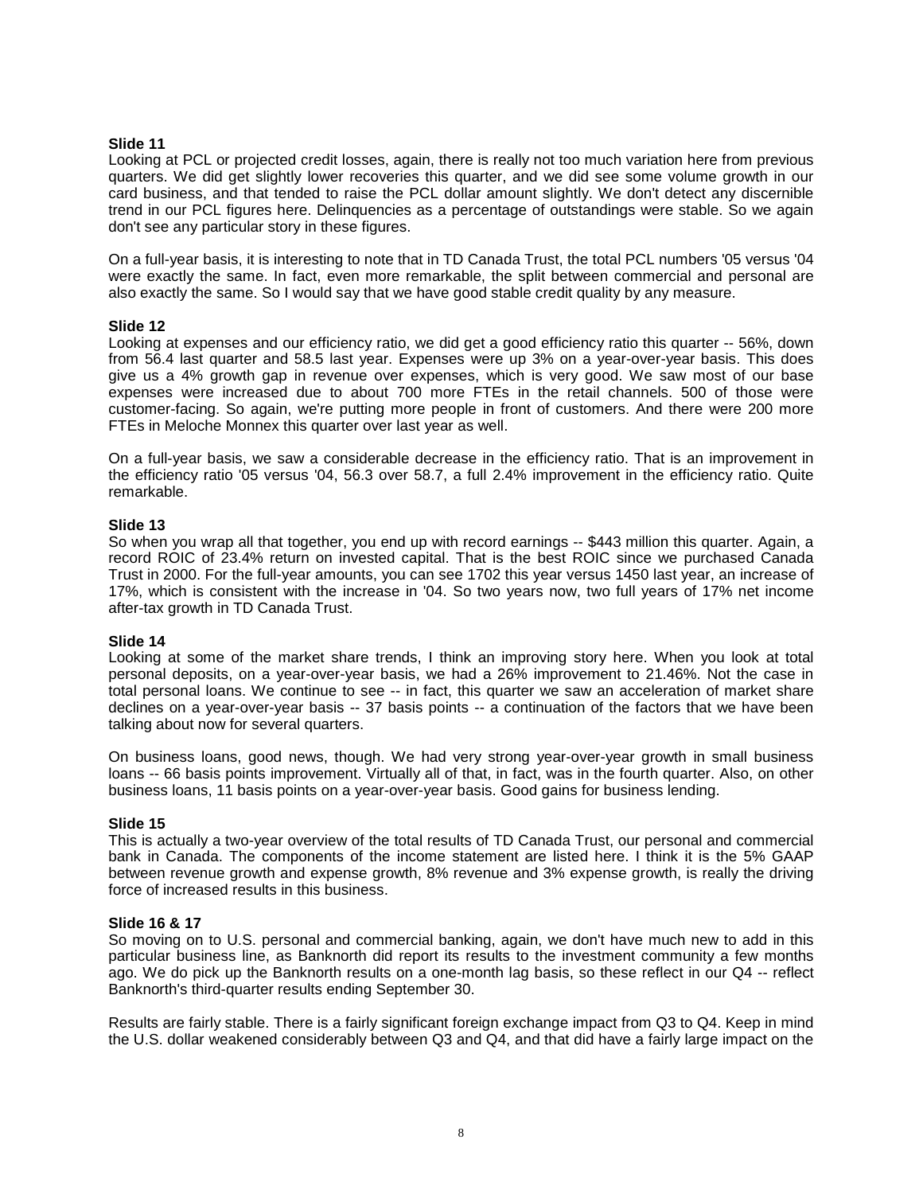# **Slide 11**

Looking at PCL or projected credit losses, again, there is really not too much variation here from previous quarters. We did get slightly lower recoveries this quarter, and we did see some volume growth in our card business, and that tended to raise the PCL dollar amount slightly. We don't detect any discernible trend in our PCL figures here. Delinquencies as a percentage of outstandings were stable. So we again don't see any particular story in these figures.

On a full-year basis, it is interesting to note that in TD Canada Trust, the total PCL numbers '05 versus '04 were exactly the same. In fact, even more remarkable, the split between commercial and personal are also exactly the same. So I would say that we have good stable credit quality by any measure.

# **Slide 12**

Looking at expenses and our efficiency ratio, we did get a good efficiency ratio this quarter -- 56%, down from 56.4 last quarter and 58.5 last year. Expenses were up 3% on a year-over-year basis. This does give us a 4% growth gap in revenue over expenses, which is very good. We saw most of our base expenses were increased due to about 700 more FTEs in the retail channels. 500 of those were customer-facing. So again, we're putting more people in front of customers. And there were 200 more FTEs in Meloche Monnex this quarter over last year as well.

On a full-year basis, we saw a considerable decrease in the efficiency ratio. That is an improvement in the efficiency ratio '05 versus '04, 56.3 over 58.7, a full 2.4% improvement in the efficiency ratio. Quite remarkable.

#### **Slide 13**

So when you wrap all that together, you end up with record earnings -- \$443 million this quarter. Again, a record ROIC of 23.4% return on invested capital. That is the best ROIC since we purchased Canada Trust in 2000. For the full-year amounts, you can see 1702 this year versus 1450 last year, an increase of 17%, which is consistent with the increase in '04. So two years now, two full years of 17% net income after-tax growth in TD Canada Trust.

#### **Slide 14**

Looking at some of the market share trends, I think an improving story here. When you look at total personal deposits, on a year-over-year basis, we had a 26% improvement to 21.46%. Not the case in total personal loans. We continue to see -- in fact, this quarter we saw an acceleration of market share declines on a year-over-year basis  $-37$  basis points  $-$  a continuation of the factors that we have been talking about now for several quarters.

On business loans, good news, though. We had very strong year-over-year growth in small business loans -- 66 basis points improvement. Virtually all of that, in fact, was in the fourth quarter. Also, on other business loans, 11 basis points on a year-over-year basis. Good gains for business lending.

#### **Slide 15**

This is actually a two-year overview of the total results of TD Canada Trust, our personal and commercial bank in Canada. The components of the income statement are listed here. I think it is the 5% GAAP between revenue growth and expense growth, 8% revenue and 3% expense growth, is really the driving force of increased results in this business.

#### **Slide 16 & 17**

So moving on to U.S. personal and commercial banking, again, we don't have much new to add in this particular business line, as Banknorth did report its results to the investment community a few months ago. We do pick up the Banknorth results on a one-month lag basis, so these reflect in our Q4 -- reflect Banknorth's third-quarter results ending September 30.

Results are fairly stable. There is a fairly significant foreign exchange impact from Q3 to Q4. Keep in mind the U.S. dollar weakened considerably between Q3 and Q4, and that did have a fairly large impact on the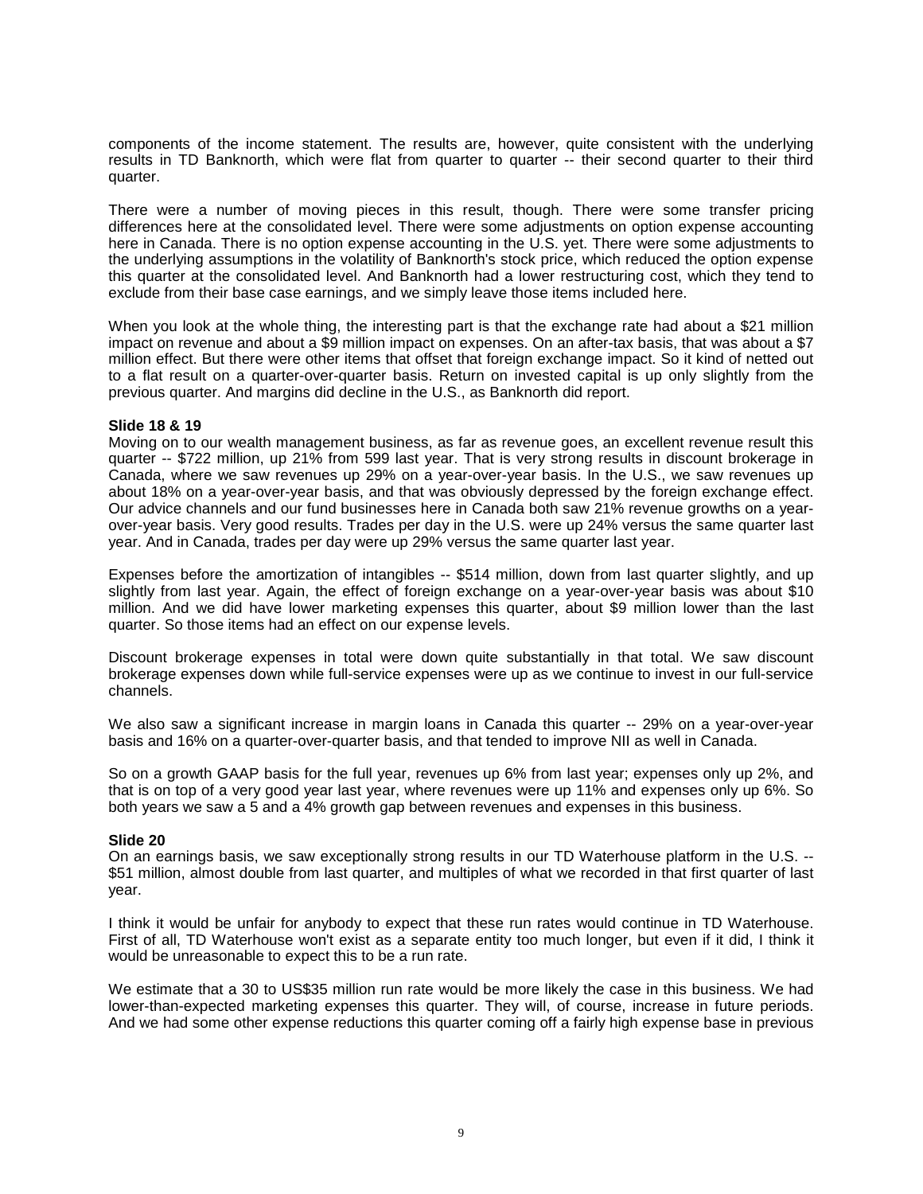components of the income statement. The results are, however, quite consistent with the underlying results in TD Banknorth, which were flat from quarter to quarter -- their second quarter to their third quarter.

There were a number of moving pieces in this result, though. There were some transfer pricing differences here at the consolidated level. There were some adjustments on option expense accounting here in Canada. There is no option expense accounting in the U.S. yet. There were some adjustments to the underlying assumptions in the volatility of Banknorth's stock price, which reduced the option expense this quarter at the consolidated level. And Banknorth had a lower restructuring cost, which they tend to exclude from their base case earnings, and we simply leave those items included here.

When you look at the whole thing, the interesting part is that the exchange rate had about a \$21 million impact on revenue and about a \$9 million impact on expenses. On an after-tax basis, that was about a \$7 million effect. But there were other items that offset that foreign exchange impact. So it kind of netted out to a flat result on a quarter-over-quarter basis. Return on invested capital is up only slightly from the previous quarter. And margins did decline in the U.S., as Banknorth did report.

# **Slide 18 & 19**

Moving on to our wealth management business, as far as revenue goes, an excellent revenue result this quarter -- \$722 million, up 21% from 599 last year. That is very strong results in discount brokerage in Canada, where we saw revenues up 29% on a year-over-year basis. In the U.S., we saw revenues up about 18% on a year-over-year basis, and that was obviously depressed by the foreign exchange effect. Our advice channels and our fund businesses here in Canada both saw 21% revenue growths on a yearover-year basis. Very good results. Trades per day in the U.S. were up 24% versus the same quarter last year. And in Canada, trades per day were up 29% versus the same quarter last year.

Expenses before the amortization of intangibles -- \$514 million, down from last quarter slightly, and up slightly from last year. Again, the effect of foreign exchange on a year-over-year basis was about \$10 million. And we did have lower marketing expenses this quarter, about \$9 million lower than the last quarter. So those items had an effect on our expense levels.

Discount brokerage expenses in total were down quite substantially in that total. We saw discount brokerage expenses down while full-service expenses were up as we continue to invest in our full-service channels.

We also saw a significant increase in margin loans in Canada this quarter -- 29% on a year-over-year basis and 16% on a quarter-over-quarter basis, and that tended to improve NII as well in Canada.

So on a growth GAAP basis for the full year, revenues up 6% from last year; expenses only up 2%, and that is on top of a very good year last year, where revenues were up 11% and expenses only up 6%. So both years we saw a 5 and a 4% growth gap between revenues and expenses in this business.

#### **Slide 20**

On an earnings basis, we saw exceptionally strong results in our TD Waterhouse platform in the U.S. -- \$51 million, almost double from last quarter, and multiples of what we recorded in that first quarter of last year.

I think it would be unfair for anybody to expect that these run rates would continue in TD Waterhouse. First of all, TD Waterhouse won't exist as a separate entity too much longer, but even if it did, I think it would be unreasonable to expect this to be a run rate.

We estimate that a 30 to US\$35 million run rate would be more likely the case in this business. We had lower-than-expected marketing expenses this quarter. They will, of course, increase in future periods. And we had some other expense reductions this quarter coming off a fairly high expense base in previous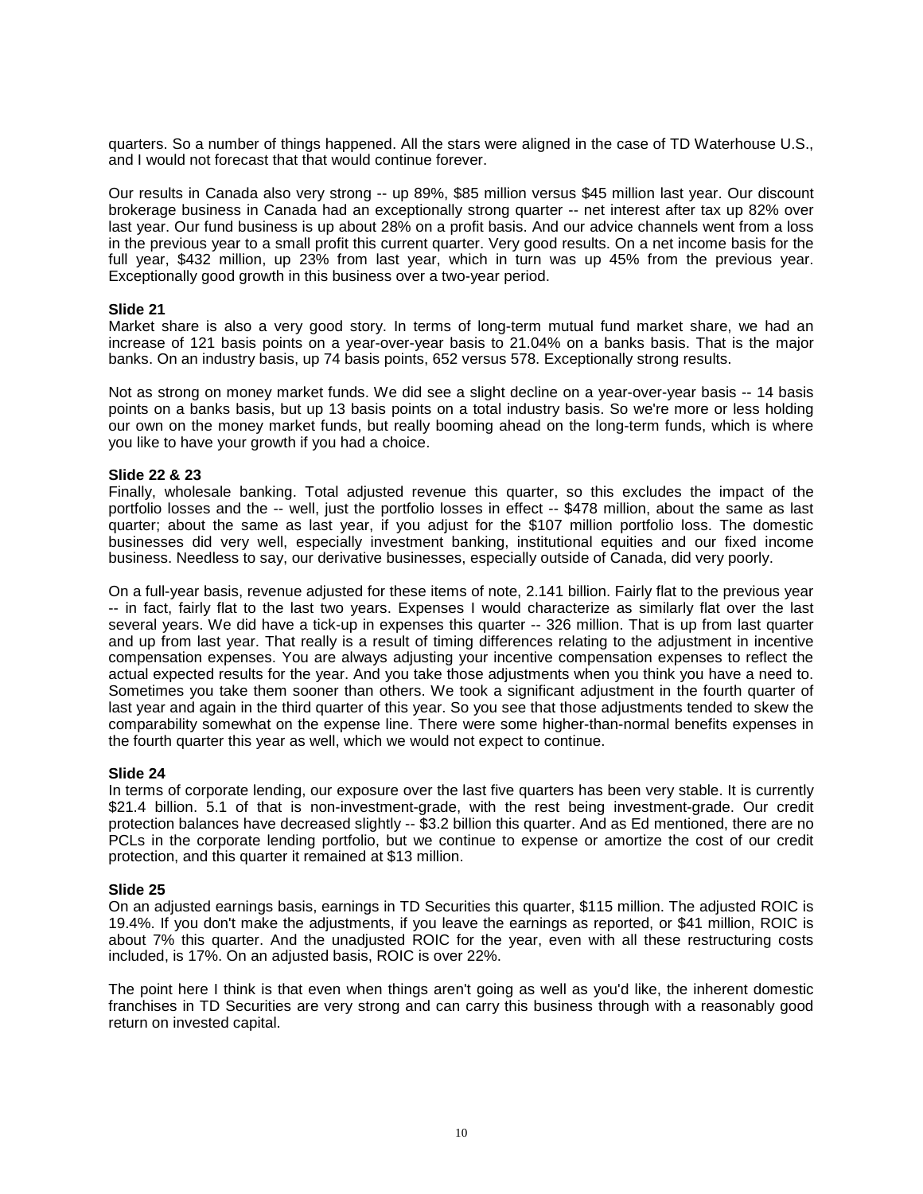quarters. So a number of things happened. All the stars were aligned in the case of TD Waterhouse U.S., and I would not forecast that that would continue forever.

Our results in Canada also very strong -- up 89%, \$85 million versus \$45 million last year. Our discount brokerage business in Canada had an exceptionally strong quarter -- net interest after tax up 82% over last year. Our fund business is up about 28% on a profit basis. And our advice channels went from a loss in the previous year to a small profit this current quarter. Very good results. On a net income basis for the full year, \$432 million, up 23% from last year, which in turn was up 45% from the previous year. Exceptionally good growth in this business over a two-year period.

# **Slide 21**

Market share is also a very good story. In terms of long-term mutual fund market share, we had an increase of 121 basis points on a year-over-year basis to 21.04% on a banks basis. That is the major banks. On an industry basis, up 74 basis points, 652 versus 578. Exceptionally strong results.

Not as strong on money market funds. We did see a slight decline on a year-over-year basis -- 14 basis points on a banks basis, but up 13 basis points on a total industry basis. So we're more or less holding our own on the money market funds, but really booming ahead on the long-term funds, which is where you like to have your growth if you had a choice.

# **Slide 22 & 23**

Finally, wholesale banking. Total adjusted revenue this quarter, so this excludes the impact of the portfolio losses and the -- well, just the portfolio losses in effect -- \$478 million, about the same as last quarter; about the same as last year, if you adjust for the \$107 million portfolio loss. The domestic businesses did very well, especially investment banking, institutional equities and our fixed income business. Needless to say, our derivative businesses, especially outside of Canada, did very poorly.

On a full-year basis, revenue adjusted for these items of note, 2.141 billion. Fairly flat to the previous year -- in fact, fairly flat to the last two years. Expenses I would characterize as similarly flat over the last several years. We did have a tick-up in expenses this quarter -- 326 million. That is up from last quarter and up from last year. That really is a result of timing differences relating to the adjustment in incentive compensation expenses. You are always adjusting your incentive compensation expenses to reflect the actual expected results for the year. And you take those adjustments when you think you have a need to. Sometimes you take them sooner than others. We took a significant adjustment in the fourth quarter of last year and again in the third quarter of this year. So you see that those adjustments tended to skew the comparability somewhat on the expense line. There were some higher-than-normal benefits expenses in the fourth quarter this year as well, which we would not expect to continue.

#### **Slide 24**

In terms of corporate lending, our exposure over the last five quarters has been very stable. It is currently \$21.4 billion. 5.1 of that is non-investment-grade, with the rest being investment-grade. Our credit protection balances have decreased slightly -- \$3.2 billion this quarter. And as Ed mentioned, there are no PCLs in the corporate lending portfolio, but we continue to expense or amortize the cost of our credit protection, and this quarter it remained at \$13 million.

#### **Slide 25**

On an adjusted earnings basis, earnings in TD Securities this quarter, \$115 million. The adjusted ROIC is 19.4%. If you don't make the adjustments, if you leave the earnings as reported, or \$41 million, ROIC is about 7% this quarter. And the unadjusted ROIC for the year, even with all these restructuring costs included, is 17%. On an adjusted basis, ROIC is over 22%.

The point here I think is that even when things aren't going as well as you'd like, the inherent domestic franchises in TD Securities are very strong and can carry this business through with a reasonably good return on invested capital.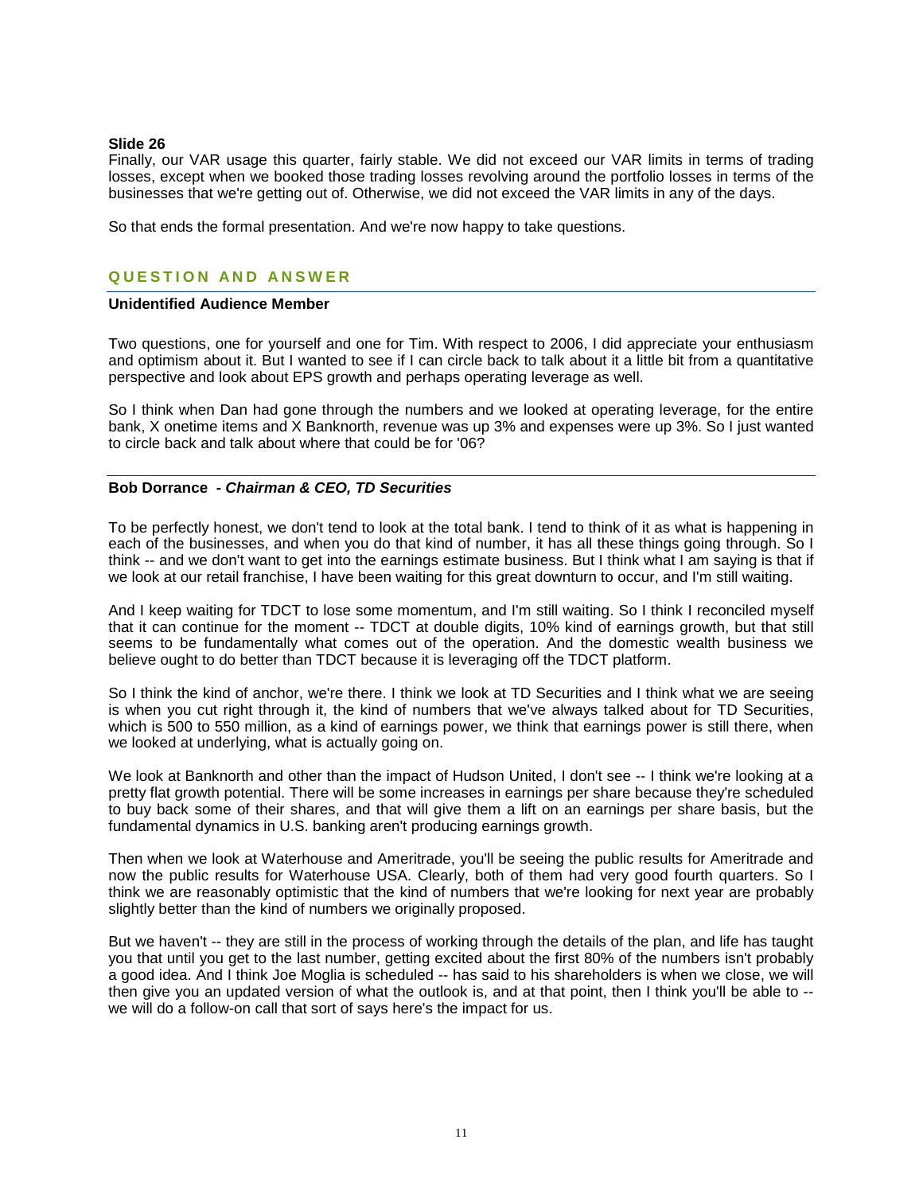#### **Slide 26**

Finally, our VAR usage this quarter, fairly stable. We did not exceed our VAR limits in terms of trading losses, except when we booked those trading losses revolving around the portfolio losses in terms of the businesses that we're getting out of. Otherwise, we did not exceed the VAR limits in any of the days.

So that ends the formal presentation. And we're now happy to take questions.

# **QUESTION AND ANSWER**

### **Unidentified Audience Member**

Two questions, one for yourself and one for Tim. With respect to 2006, I did appreciate your enthusiasm and optimism about it. But I wanted to see if I can circle back to talk about it a little bit from a quantitative perspective and look about EPS growth and perhaps operating leverage as well.

So I think when Dan had gone through the numbers and we looked at operating leverage, for the entire bank, X onetime items and X Banknorth, revenue was up 3% and expenses were up 3%. So I just wanted to circle back and talk about where that could be for '06?

# **Bob Dorrance** *- Chairman & CEO, TD Securities*

To be perfectly honest, we don't tend to look at the total bank. I tend to think of it as what is happening in each of the businesses, and when you do that kind of number, it has all these things going through. So I think -- and we don't want to get into the earnings estimate business. But I think what I am saying is that if we look at our retail franchise, I have been waiting for this great downturn to occur, and I'm still waiting.

And I keep waiting for TDCT to lose some momentum, and I'm still waiting. So I think I reconciled myself that it can continue for the moment -- TDCT at double digits, 10% kind of earnings growth, but that still seems to be fundamentally what comes out of the operation. And the domestic wealth business we believe ought to do better than TDCT because it is leveraging off the TDCT platform.

So I think the kind of anchor, we're there. I think we look at TD Securities and I think what we are seeing is when you cut right through it, the kind of numbers that we've always talked about for TD Securities, which is 500 to 550 million, as a kind of earnings power, we think that earnings power is still there, when we looked at underlying, what is actually going on.

We look at Banknorth and other than the impact of Hudson United, I don't see -- I think we're looking at a pretty flat growth potential. There will be some increases in earnings per share because they're scheduled to buy back some of their shares, and that will give them a lift on an earnings per share basis, but the fundamental dynamics in U.S. banking aren't producing earnings growth.

Then when we look at Waterhouse and Ameritrade, you'll be seeing the public results for Ameritrade and now the public results for Waterhouse USA. Clearly, both of them had very good fourth quarters. So I think we are reasonably optimistic that the kind of numbers that we're looking for next year are probably slightly better than the kind of numbers we originally proposed.

But we haven't -- they are still in the process of working through the details of the plan, and life has taught you that until you get to the last number, getting excited about the first 80% of the numbers isn't probably a good idea. And I think Joe Moglia is scheduled -- has said to his shareholders is when we close, we will then give you an updated version of what the outlook is, and at that point, then I think you'll be able to - we will do a follow-on call that sort of says here's the impact for us.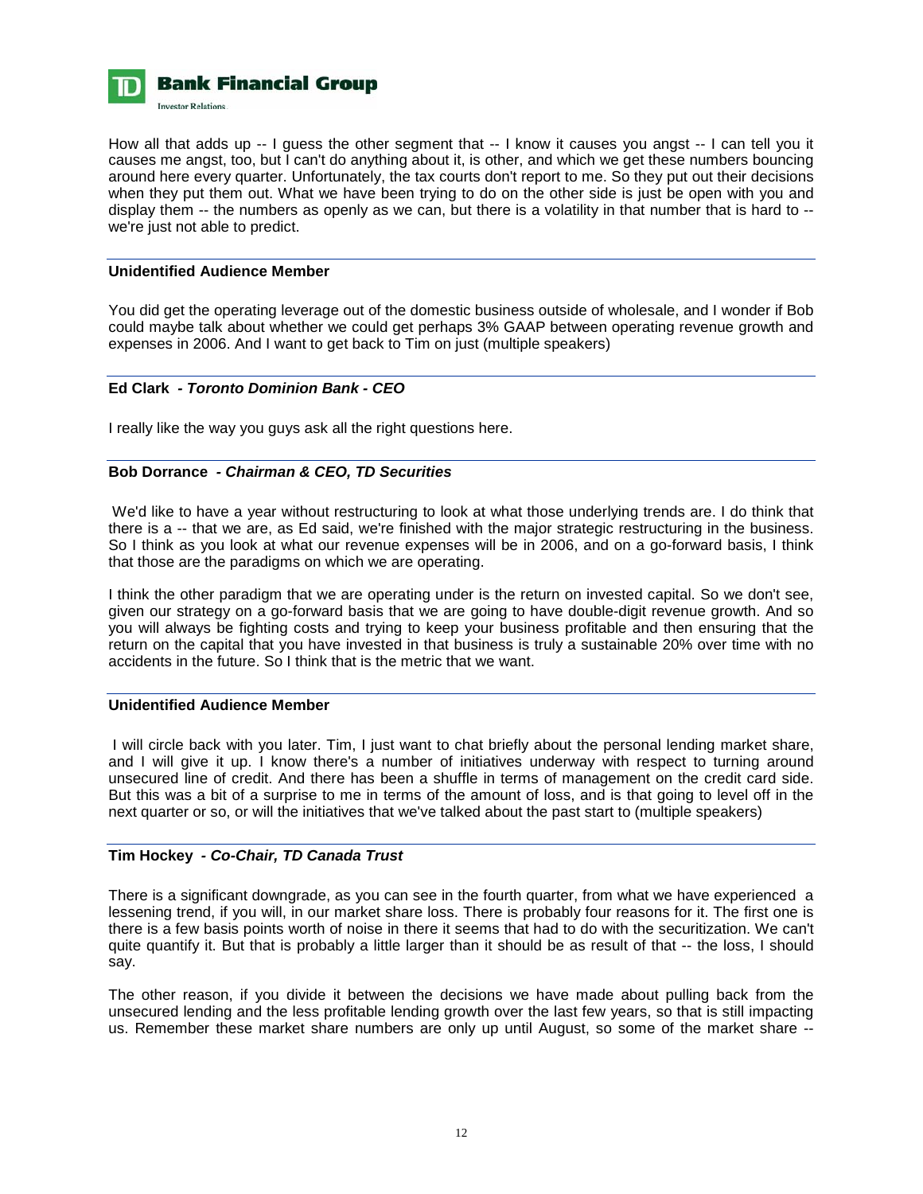

How all that adds up -- I guess the other segment that -- I know it causes you angst -- I can tell you it causes me angst, too, but I can't do anything about it, is other, and which we get these numbers bouncing around here every quarter. Unfortunately, the tax courts don't report to me. So they put out their decisions when they put them out. What we have been trying to do on the other side is just be open with you and display them -- the numbers as openly as we can, but there is a volatility in that number that is hard to - we're just not able to predict.

# **Unidentified Audience Member**

You did get the operating leverage out of the domestic business outside of wholesale, and I wonder if Bob could maybe talk about whether we could get perhaps 3% GAAP between operating revenue growth and expenses in 2006. And I want to get back to Tim on just (multiple speakers)

# **Ed Clark** *- Toronto Dominion Bank - CEO*

I really like the way you guys ask all the right questions here.

# **Bob Dorrance** *- Chairman & CEO, TD Securities*

 We'd like to have a year without restructuring to look at what those underlying trends are. I do think that there is a -- that we are, as Ed said, we're finished with the major strategic restructuring in the business. So I think as you look at what our revenue expenses will be in 2006, and on a go-forward basis, I think that those are the paradigms on which we are operating.

I think the other paradigm that we are operating under is the return on invested capital. So we don't see, given our strategy on a go-forward basis that we are going to have double-digit revenue growth. And so you will always be fighting costs and trying to keep your business profitable and then ensuring that the return on the capital that you have invested in that business is truly a sustainable 20% over time with no accidents in the future. So I think that is the metric that we want.

# **Unidentified Audience Member**

 I will circle back with you later. Tim, I just want to chat briefly about the personal lending market share, and I will give it up. I know there's a number of initiatives underway with respect to turning around unsecured line of credit. And there has been a shuffle in terms of management on the credit card side. But this was a bit of a surprise to me in terms of the amount of loss, and is that going to level off in the next quarter or so, or will the initiatives that we've talked about the past start to (multiple speakers)

# **Tim Hockey** *- Co-Chair, TD Canada Trust*

There is a significant downgrade, as you can see in the fourth quarter, from what we have experienced a lessening trend, if you will, in our market share loss. There is probably four reasons for it. The first one is there is a few basis points worth of noise in there it seems that had to do with the securitization. We can't quite quantify it. But that is probably a little larger than it should be as result of that -- the loss, I should say.

The other reason, if you divide it between the decisions we have made about pulling back from the unsecured lending and the less profitable lending growth over the last few years, so that is still impacting us. Remember these market share numbers are only up until August, so some of the market share --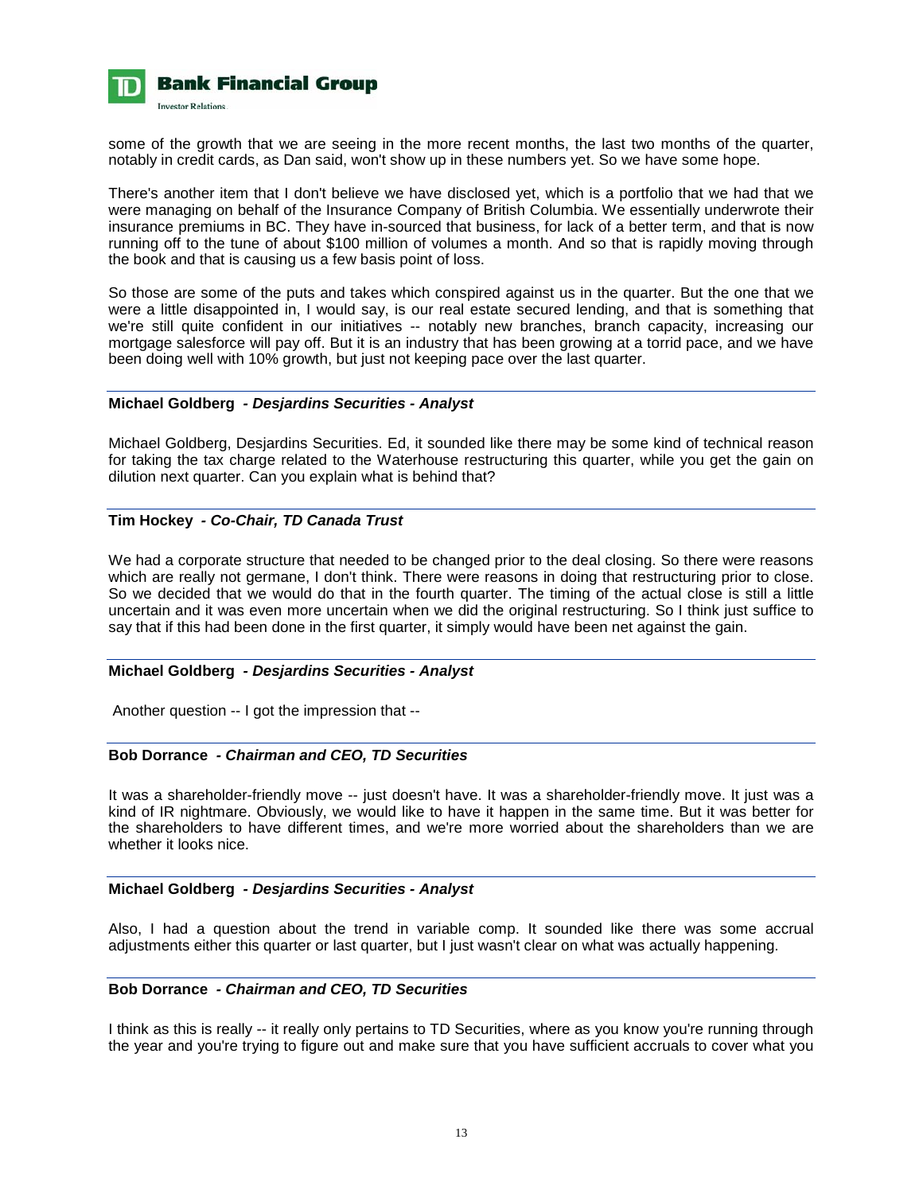

some of the growth that we are seeing in the more recent months, the last two months of the quarter, notably in credit cards, as Dan said, won't show up in these numbers yet. So we have some hope.

There's another item that I don't believe we have disclosed yet, which is a portfolio that we had that we were managing on behalf of the Insurance Company of British Columbia. We essentially underwrote their insurance premiums in BC. They have in-sourced that business, for lack of a better term, and that is now running off to the tune of about \$100 million of volumes a month. And so that is rapidly moving through the book and that is causing us a few basis point of loss.

So those are some of the puts and takes which conspired against us in the quarter. But the one that we were a little disappointed in, I would say, is our real estate secured lending, and that is something that we're still quite confident in our initiatives -- notably new branches, branch capacity, increasing our mortgage salesforce will pay off. But it is an industry that has been growing at a torrid pace, and we have been doing well with 10% growth, but just not keeping pace over the last quarter.

#### **Michael Goldberg** *- Desjardins Securities - Analyst*

Michael Goldberg, Desjardins Securities. Ed, it sounded like there may be some kind of technical reason for taking the tax charge related to the Waterhouse restructuring this quarter, while you get the gain on dilution next quarter. Can you explain what is behind that?

# **Tim Hockey** *- Co-Chair, TD Canada Trust*

We had a corporate structure that needed to be changed prior to the deal closing. So there were reasons which are really not germane, I don't think. There were reasons in doing that restructuring prior to close. So we decided that we would do that in the fourth quarter. The timing of the actual close is still a little uncertain and it was even more uncertain when we did the original restructuring. So I think just suffice to say that if this had been done in the first quarter, it simply would have been net against the gain.

### **Michael Goldberg** *- Desjardins Securities - Analyst*

Another question -- I got the impression that --

# **Bob Dorrance** *- Chairman and CEO, TD Securities*

It was a shareholder-friendly move -- just doesn't have. It was a shareholder-friendly move. It just was a kind of IR nightmare. Obviously, we would like to have it happen in the same time. But it was better for the shareholders to have different times, and we're more worried about the shareholders than we are whether it looks nice.

#### **Michael Goldberg** *- Desjardins Securities - Analyst*

Also, I had a question about the trend in variable comp. It sounded like there was some accrual adjustments either this quarter or last quarter, but I just wasn't clear on what was actually happening.

### **Bob Dorrance** *- Chairman and CEO, TD Securities*

I think as this is really -- it really only pertains to TD Securities, where as you know you're running through the year and you're trying to figure out and make sure that you have sufficient accruals to cover what you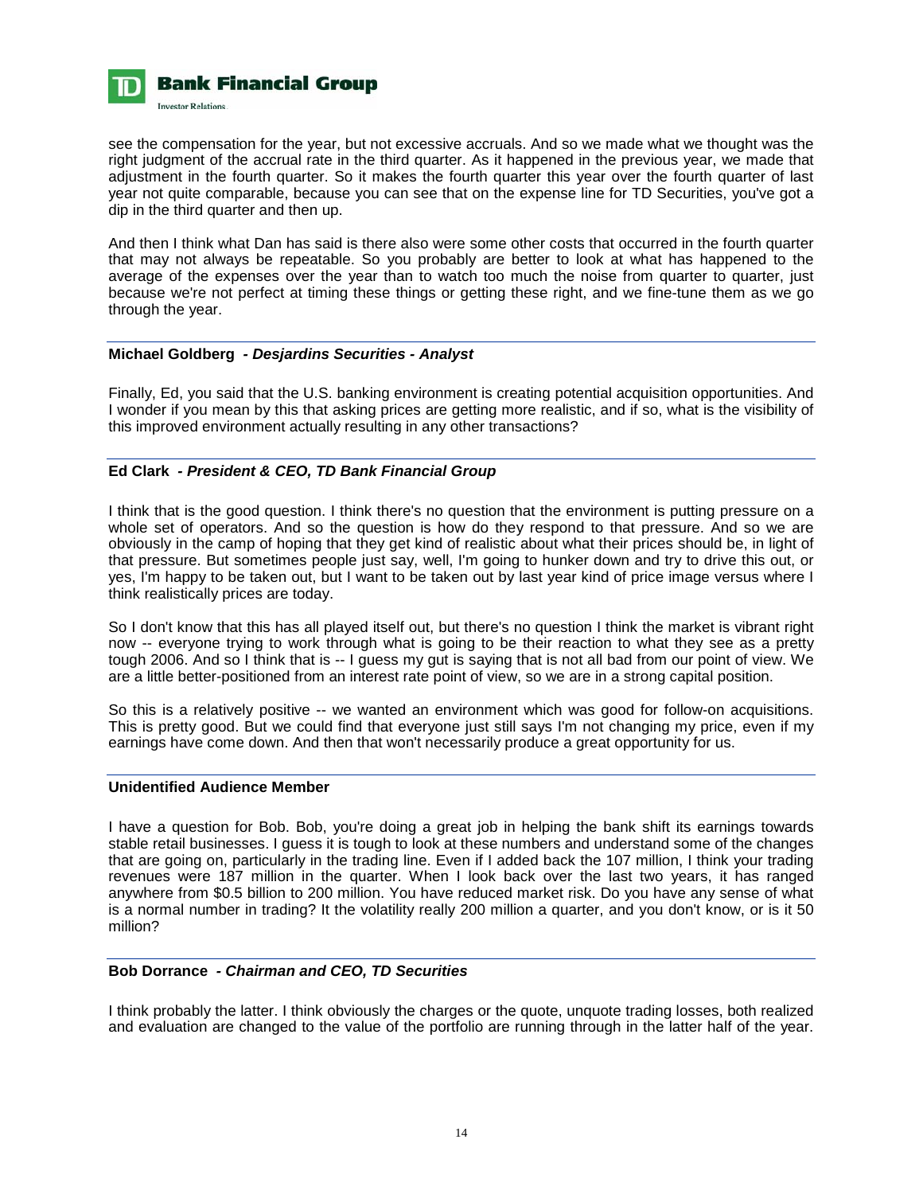

see the compensation for the year, but not excessive accruals. And so we made what we thought was the right judgment of the accrual rate in the third quarter. As it happened in the previous year, we made that adjustment in the fourth quarter. So it makes the fourth quarter this year over the fourth quarter of last year not quite comparable, because you can see that on the expense line for TD Securities, you've got a dip in the third quarter and then up.

And then I think what Dan has said is there also were some other costs that occurred in the fourth quarter that may not always be repeatable. So you probably are better to look at what has happened to the average of the expenses over the year than to watch too much the noise from quarter to quarter, just because we're not perfect at timing these things or getting these right, and we fine-tune them as we go through the year.

# **Michael Goldberg** *- Desjardins Securities - Analyst*

Finally, Ed, you said that the U.S. banking environment is creating potential acquisition opportunities. And I wonder if you mean by this that asking prices are getting more realistic, and if so, what is the visibility of this improved environment actually resulting in any other transactions?

# **Ed Clark** *- President & CEO, TD Bank Financial Group*

I think that is the good question. I think there's no question that the environment is putting pressure on a whole set of operators. And so the question is how do they respond to that pressure. And so we are obviously in the camp of hoping that they get kind of realistic about what their prices should be, in light of that pressure. But sometimes people just say, well, I'm going to hunker down and try to drive this out, or yes, I'm happy to be taken out, but I want to be taken out by last year kind of price image versus where I think realistically prices are today.

So I don't know that this has all played itself out, but there's no question I think the market is vibrant right now -- everyone trying to work through what is going to be their reaction to what they see as a pretty tough 2006. And so I think that is -- I guess my gut is saying that is not all bad from our point of view. We are a little better-positioned from an interest rate point of view, so we are in a strong capital position.

So this is a relatively positive -- we wanted an environment which was good for follow-on acquisitions. This is pretty good. But we could find that everyone just still says I'm not changing my price, even if my earnings have come down. And then that won't necessarily produce a great opportunity for us.

# **Unidentified Audience Member**

I have a question for Bob. Bob, you're doing a great job in helping the bank shift its earnings towards stable retail businesses. I guess it is tough to look at these numbers and understand some of the changes that are going on, particularly in the trading line. Even if I added back the 107 million, I think your trading revenues were 187 million in the quarter. When I look back over the last two years, it has ranged anywhere from \$0.5 billion to 200 million. You have reduced market risk. Do you have any sense of what is a normal number in trading? It the volatility really 200 million a quarter, and you don't know, or is it 50 million?

### **Bob Dorrance** *- Chairman and CEO, TD Securities*

I think probably the latter. I think obviously the charges or the quote, unquote trading losses, both realized and evaluation are changed to the value of the portfolio are running through in the latter half of the year.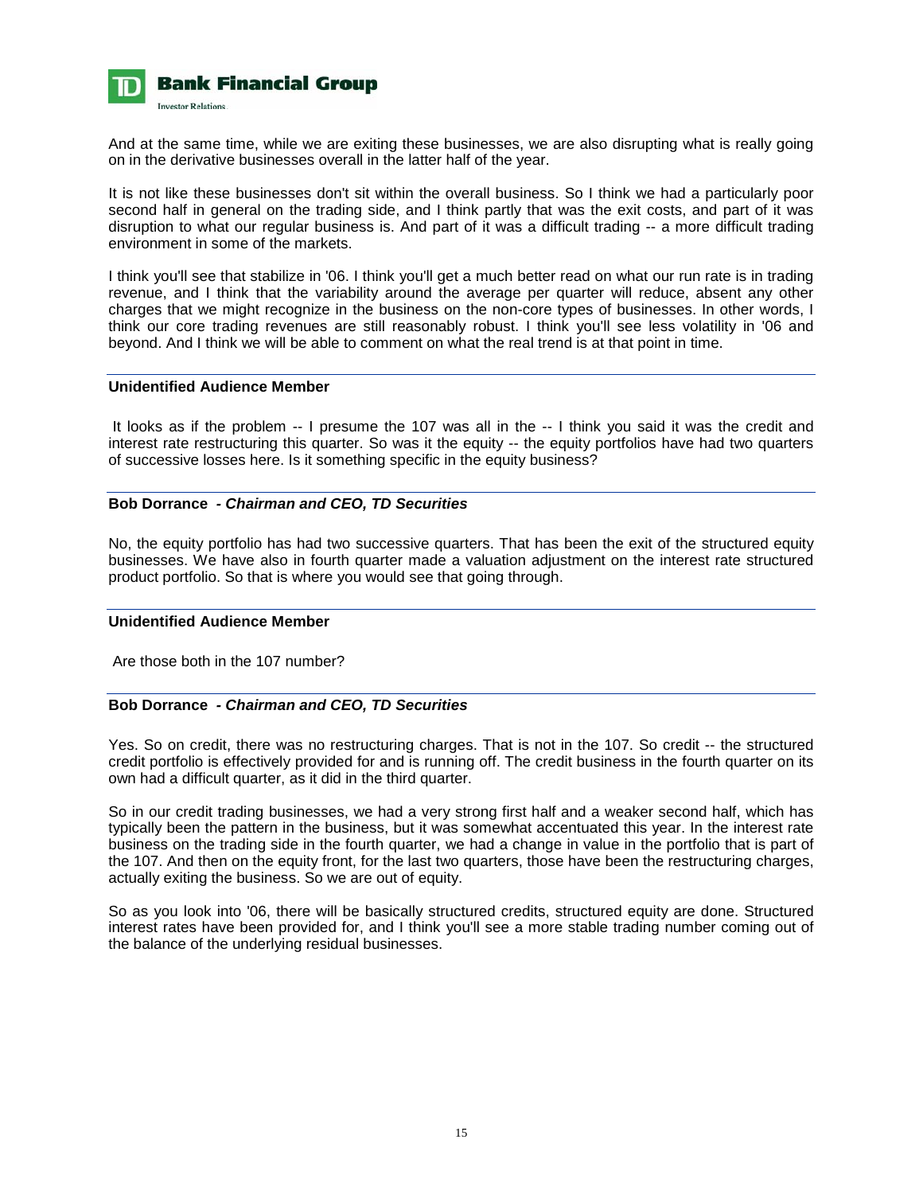

And at the same time, while we are exiting these businesses, we are also disrupting what is really going on in the derivative businesses overall in the latter half of the year.

It is not like these businesses don't sit within the overall business. So I think we had a particularly poor second half in general on the trading side, and I think partly that was the exit costs, and part of it was disruption to what our regular business is. And part of it was a difficult trading -- a more difficult trading environment in some of the markets.

I think you'll see that stabilize in '06. I think you'll get a much better read on what our run rate is in trading revenue, and I think that the variability around the average per quarter will reduce, absent any other charges that we might recognize in the business on the non-core types of businesses. In other words, I think our core trading revenues are still reasonably robust. I think you'll see less volatility in '06 and beyond. And I think we will be able to comment on what the real trend is at that point in time.

#### **Unidentified Audience Member**

 It looks as if the problem -- I presume the 107 was all in the -- I think you said it was the credit and interest rate restructuring this quarter. So was it the equity -- the equity portfolios have had two quarters of successive losses here. Is it something specific in the equity business?

### **Bob Dorrance** *- Chairman and CEO, TD Securities*

No, the equity portfolio has had two successive quarters. That has been the exit of the structured equity businesses. We have also in fourth quarter made a valuation adjustment on the interest rate structured product portfolio. So that is where you would see that going through.

# **Unidentified Audience Member**

Are those both in the 107 number?

# **Bob Dorrance** *- Chairman and CEO, TD Securities*

Yes. So on credit, there was no restructuring charges. That is not in the 107. So credit -- the structured credit portfolio is effectively provided for and is running off. The credit business in the fourth quarter on its own had a difficult quarter, as it did in the third quarter.

So in our credit trading businesses, we had a very strong first half and a weaker second half, which has typically been the pattern in the business, but it was somewhat accentuated this year. In the interest rate business on the trading side in the fourth quarter, we had a change in value in the portfolio that is part of the 107. And then on the equity front, for the last two quarters, those have been the restructuring charges, actually exiting the business. So we are out of equity.

So as you look into '06, there will be basically structured credits, structured equity are done. Structured interest rates have been provided for, and I think you'll see a more stable trading number coming out of the balance of the underlying residual businesses.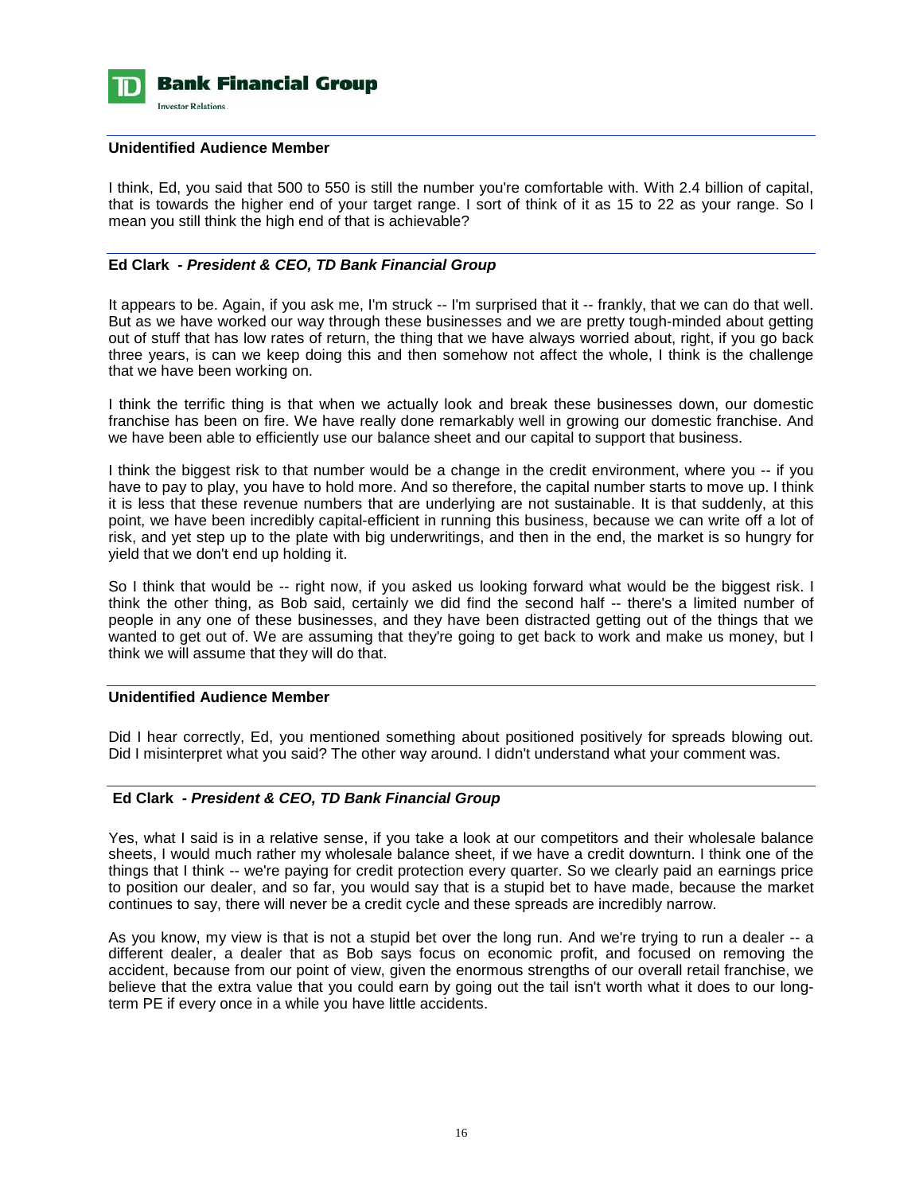

# **Unidentified Audience Member**

I think, Ed, you said that 500 to 550 is still the number you're comfortable with. With 2.4 billion of capital, that is towards the higher end of your target range. I sort of think of it as 15 to 22 as your range. So I mean you still think the high end of that is achievable?

# **Ed Clark** *- President & CEO, TD Bank Financial Group*

It appears to be. Again, if you ask me, I'm struck -- I'm surprised that it -- frankly, that we can do that well. But as we have worked our way through these businesses and we are pretty tough-minded about getting out of stuff that has low rates of return, the thing that we have always worried about, right, if you go back three years, is can we keep doing this and then somehow not affect the whole, I think is the challenge that we have been working on.

I think the terrific thing is that when we actually look and break these businesses down, our domestic franchise has been on fire. We have really done remarkably well in growing our domestic franchise. And we have been able to efficiently use our balance sheet and our capital to support that business.

I think the biggest risk to that number would be a change in the credit environment, where you -- if you have to pay to play, you have to hold more. And so therefore, the capital number starts to move up. I think it is less that these revenue numbers that are underlying are not sustainable. It is that suddenly, at this point, we have been incredibly capital-efficient in running this business, because we can write off a lot of risk, and yet step up to the plate with big underwritings, and then in the end, the market is so hungry for yield that we don't end up holding it.

So I think that would be -- right now, if you asked us looking forward what would be the biggest risk. I think the other thing, as Bob said, certainly we did find the second half -- there's a limited number of people in any one of these businesses, and they have been distracted getting out of the things that we wanted to get out of. We are assuming that they're going to get back to work and make us money, but I think we will assume that they will do that.

# **Unidentified Audience Member**

Did I hear correctly, Ed, you mentioned something about positioned positively for spreads blowing out. Did I misinterpret what you said? The other way around. I didn't understand what your comment was.

# **Ed Clark** *- President & CEO, TD Bank Financial Group*

Yes, what I said is in a relative sense, if you take a look at our competitors and their wholesale balance sheets, I would much rather my wholesale balance sheet, if we have a credit downturn. I think one of the things that I think -- we're paying for credit protection every quarter. So we clearly paid an earnings price to position our dealer, and so far, you would say that is a stupid bet to have made, because the market continues to say, there will never be a credit cycle and these spreads are incredibly narrow.

As you know, my view is that is not a stupid bet over the long run. And we're trying to run a dealer -- a different dealer, a dealer that as Bob says focus on economic profit, and focused on removing the accident, because from our point of view, given the enormous strengths of our overall retail franchise, we believe that the extra value that you could earn by going out the tail isn't worth what it does to our longterm PE if every once in a while you have little accidents.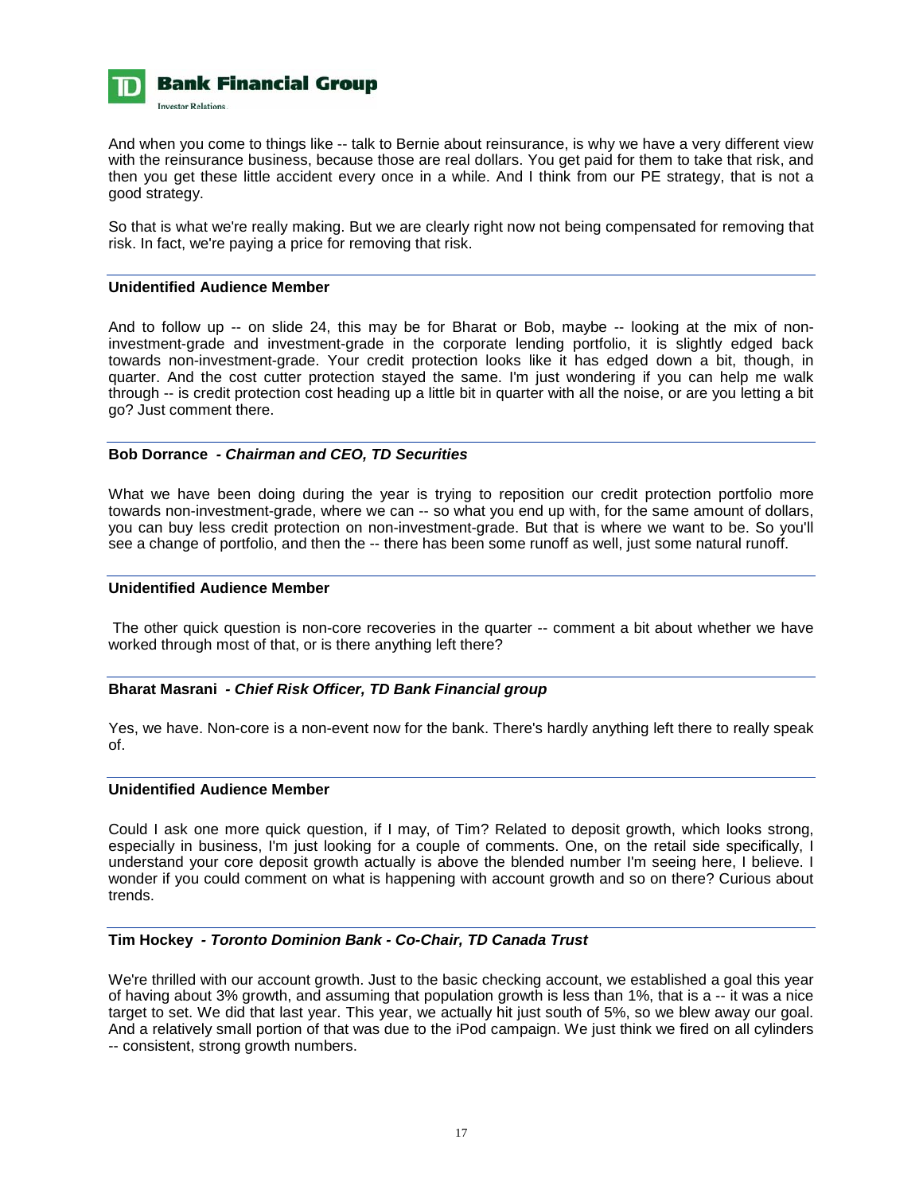

And when you come to things like -- talk to Bernie about reinsurance, is why we have a very different view with the reinsurance business, because those are real dollars. You get paid for them to take that risk, and then you get these little accident every once in a while. And I think from our PE strategy, that is not a good strategy.

So that is what we're really making. But we are clearly right now not being compensated for removing that risk. In fact, we're paying a price for removing that risk.

### **Unidentified Audience Member**

And to follow up -- on slide 24, this may be for Bharat or Bob, maybe -- looking at the mix of noninvestment-grade and investment-grade in the corporate lending portfolio, it is slightly edged back towards non-investment-grade. Your credit protection looks like it has edged down a bit, though, in quarter. And the cost cutter protection stayed the same. I'm just wondering if you can help me walk through -- is credit protection cost heading up a little bit in quarter with all the noise, or are you letting a bit go? Just comment there.

#### **Bob Dorrance** *- Chairman and CEO, TD Securities*

What we have been doing during the year is trying to reposition our credit protection portfolio more towards non-investment-grade, where we can -- so what you end up with, for the same amount of dollars, you can buy less credit protection on non-investment-grade. But that is where we want to be. So you'll see a change of portfolio, and then the -- there has been some runoff as well, just some natural runoff.

# **Unidentified Audience Member**

 The other quick question is non-core recoveries in the quarter -- comment a bit about whether we have worked through most of that, or is there anything left there?

### **Bharat Masrani** *- Chief Risk Officer, TD Bank Financial group*

Yes, we have. Non-core is a non-event now for the bank. There's hardly anything left there to really speak of.

# **Unidentified Audience Member**

Could I ask one more quick question, if I may, of Tim? Related to deposit growth, which looks strong, especially in business, I'm just looking for a couple of comments. One, on the retail side specifically, I understand your core deposit growth actually is above the blended number I'm seeing here, I believe. I wonder if you could comment on what is happening with account growth and so on there? Curious about trends.

# **Tim Hockey** *- Toronto Dominion Bank - Co-Chair, TD Canada Trust*

We're thrilled with our account growth. Just to the basic checking account, we established a goal this year of having about 3% growth, and assuming that population growth is less than 1%, that is a -- it was a nice target to set. We did that last year. This year, we actually hit just south of 5%, so we blew away our goal. And a relatively small portion of that was due to the iPod campaign. We just think we fired on all cylinders -- consistent, strong growth numbers.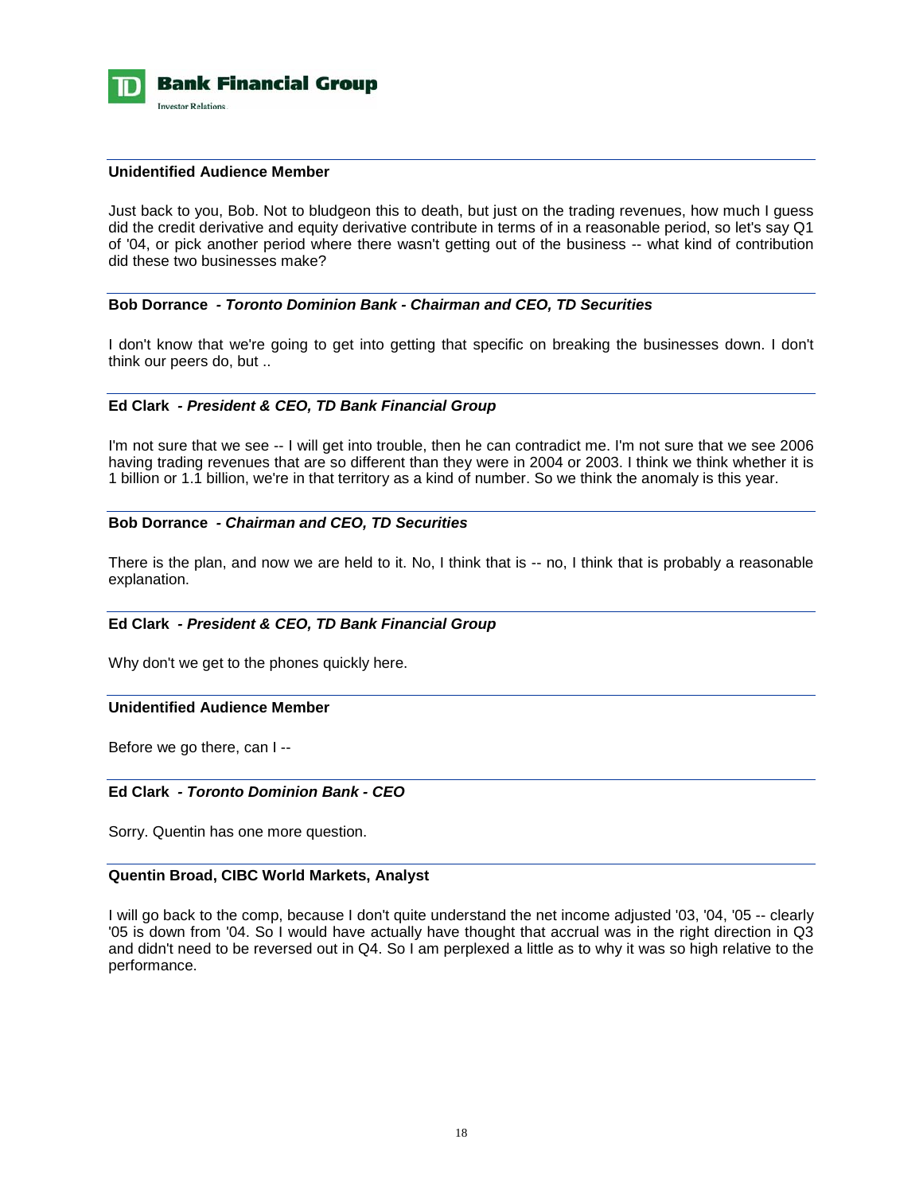

#### **Unidentified Audience Member**

Just back to you, Bob. Not to bludgeon this to death, but just on the trading revenues, how much I guess did the credit derivative and equity derivative contribute in terms of in a reasonable period, so let's say Q1 of '04, or pick another period where there wasn't getting out of the business -- what kind of contribution did these two businesses make?

# **Bob Dorrance** *- Toronto Dominion Bank - Chairman and CEO, TD Securities*

I don't know that we're going to get into getting that specific on breaking the businesses down. I don't think our peers do, but ..

# **Ed Clark** *- President & CEO, TD Bank Financial Group*

I'm not sure that we see -- I will get into trouble, then he can contradict me. I'm not sure that we see 2006 having trading revenues that are so different than they were in 2004 or 2003. I think we think whether it is 1 billion or 1.1 billion, we're in that territory as a kind of number. So we think the anomaly is this year.

# **Bob Dorrance** *- Chairman and CEO, TD Securities*

There is the plan, and now we are held to it. No, I think that is -- no, I think that is probably a reasonable explanation.

# **Ed Clark** *- President & CEO, TD Bank Financial Group*

Why don't we get to the phones quickly here.

# **Unidentified Audience Member**

Before we go there, can I --

#### **Ed Clark** *- Toronto Dominion Bank - CEO*

Sorry. Quentin has one more question.

#### **Quentin Broad, CIBC World Markets, Analyst**

I will go back to the comp, because I don't quite understand the net income adjusted '03, '04, '05 -- clearly '05 is down from '04. So I would have actually have thought that accrual was in the right direction in Q3 and didn't need to be reversed out in Q4. So I am perplexed a little as to why it was so high relative to the performance.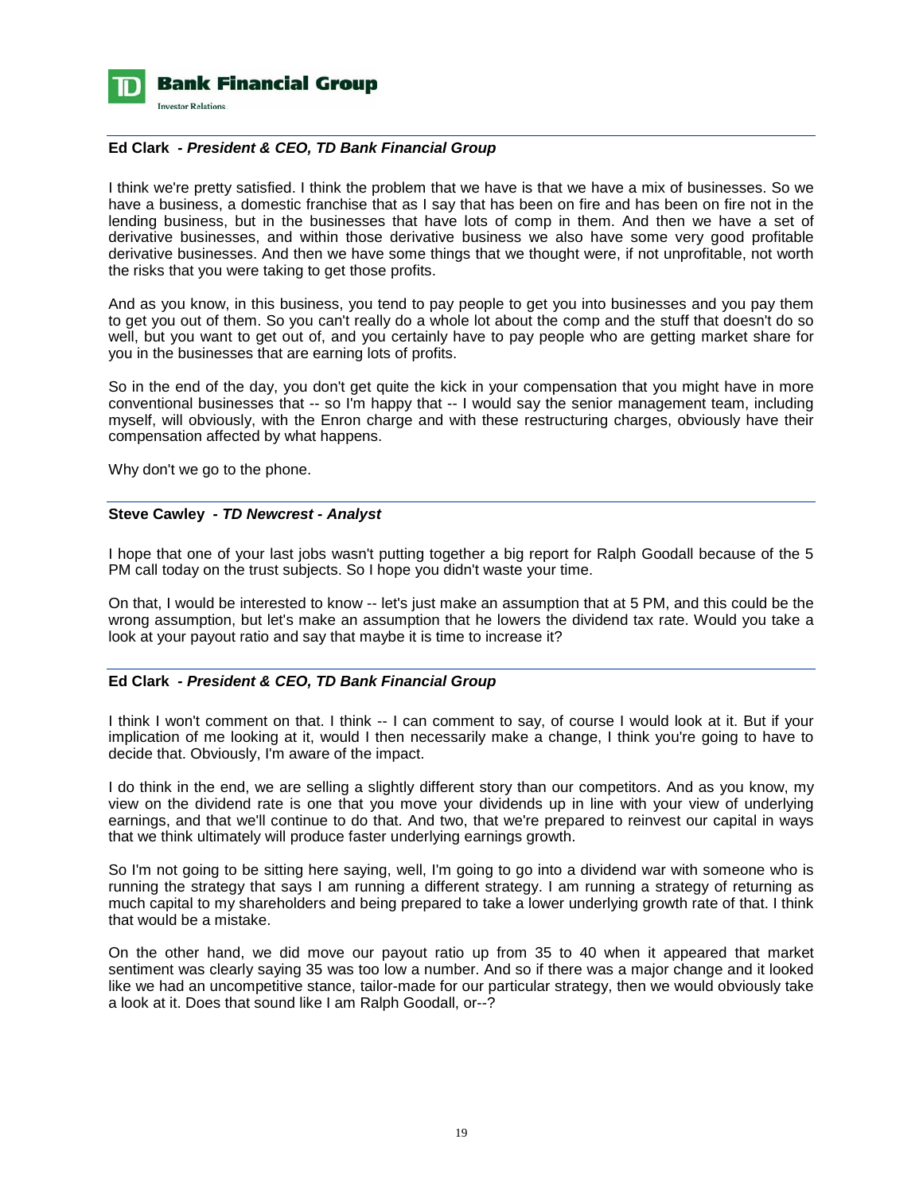

# **Ed Clark** *- President & CEO, TD Bank Financial Group*

I think we're pretty satisfied. I think the problem that we have is that we have a mix of businesses. So we have a business, a domestic franchise that as I say that has been on fire and has been on fire not in the lending business, but in the businesses that have lots of comp in them. And then we have a set of derivative businesses, and within those derivative business we also have some very good profitable derivative businesses. And then we have some things that we thought were, if not unprofitable, not worth the risks that you were taking to get those profits.

And as you know, in this business, you tend to pay people to get you into businesses and you pay them to get you out of them. So you can't really do a whole lot about the comp and the stuff that doesn't do so well, but you want to get out of, and you certainly have to pay people who are getting market share for you in the businesses that are earning lots of profits.

So in the end of the day, you don't get quite the kick in your compensation that you might have in more conventional businesses that -- so I'm happy that -- I would say the senior management team, including myself, will obviously, with the Enron charge and with these restructuring charges, obviously have their compensation affected by what happens.

Why don't we go to the phone.

# **Steve Cawley** *- TD Newcrest - Analyst*

I hope that one of your last jobs wasn't putting together a big report for Ralph Goodall because of the 5 PM call today on the trust subjects. So I hope you didn't waste your time.

On that, I would be interested to know -- let's just make an assumption that at 5 PM, and this could be the wrong assumption, but let's make an assumption that he lowers the dividend tax rate. Would you take a look at your payout ratio and say that maybe it is time to increase it?

# **Ed Clark** *- President & CEO, TD Bank Financial Group*

I think I won't comment on that. I think -- I can comment to say, of course I would look at it. But if your implication of me looking at it, would I then necessarily make a change, I think you're going to have to decide that. Obviously, I'm aware of the impact.

I do think in the end, we are selling a slightly different story than our competitors. And as you know, my view on the dividend rate is one that you move your dividends up in line with your view of underlying earnings, and that we'll continue to do that. And two, that we're prepared to reinvest our capital in ways that we think ultimately will produce faster underlying earnings growth.

So I'm not going to be sitting here saying, well, I'm going to go into a dividend war with someone who is running the strategy that says I am running a different strategy. I am running a strategy of returning as much capital to my shareholders and being prepared to take a lower underlying growth rate of that. I think that would be a mistake.

On the other hand, we did move our payout ratio up from 35 to 40 when it appeared that market sentiment was clearly saying 35 was too low a number. And so if there was a major change and it looked like we had an uncompetitive stance, tailor-made for our particular strategy, then we would obviously take a look at it. Does that sound like I am Ralph Goodall, or--?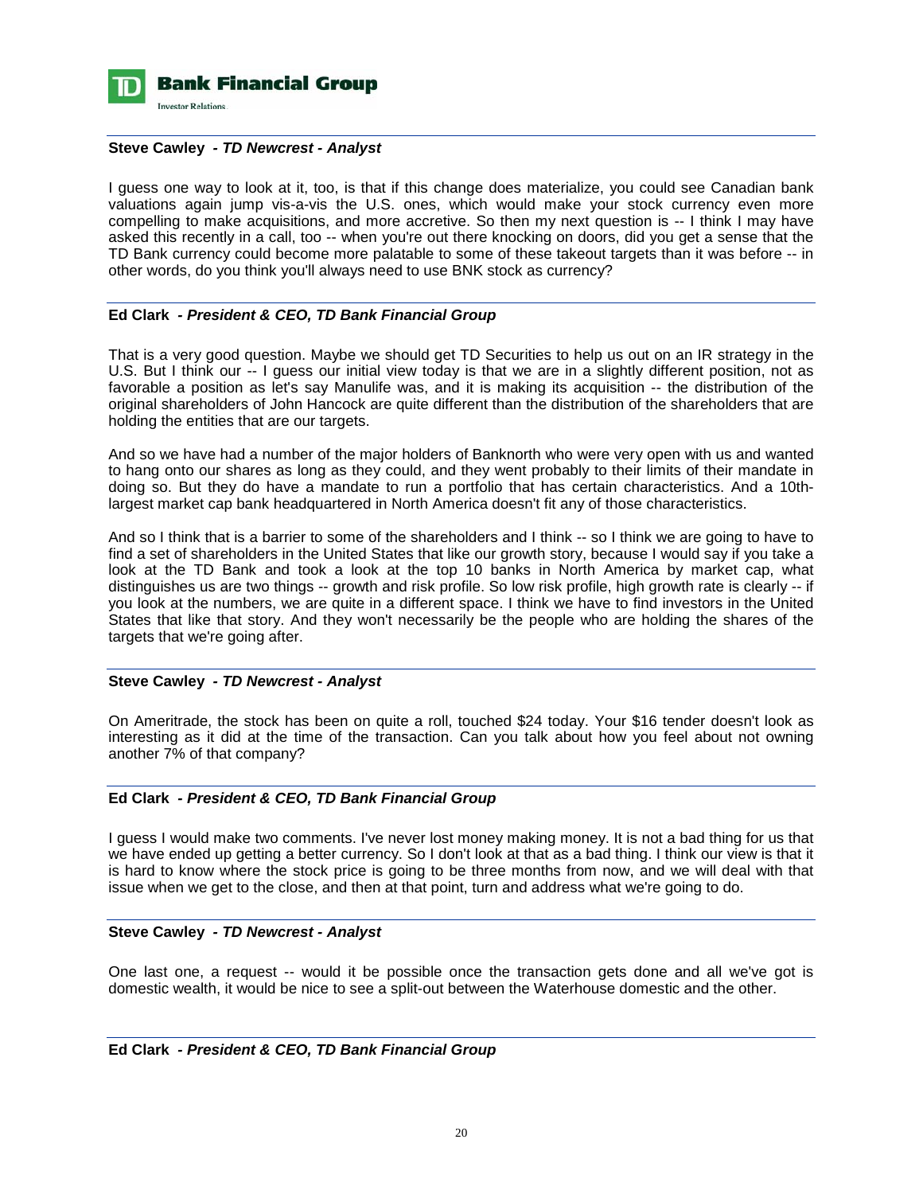

# **Steve Cawley** *- TD Newcrest - Analyst*

I guess one way to look at it, too, is that if this change does materialize, you could see Canadian bank valuations again jump vis-a-vis the U.S. ones, which would make your stock currency even more compelling to make acquisitions, and more accretive. So then my next question is -- I think I may have asked this recently in a call, too -- when you're out there knocking on doors, did you get a sense that the TD Bank currency could become more palatable to some of these takeout targets than it was before -- in other words, do you think you'll always need to use BNK stock as currency?

# **Ed Clark** *- President & CEO, TD Bank Financial Group*

That is a very good question. Maybe we should get TD Securities to help us out on an IR strategy in the U.S. But I think our -- I guess our initial view today is that we are in a slightly different position, not as favorable a position as let's say Manulife was, and it is making its acquisition -- the distribution of the original shareholders of John Hancock are quite different than the distribution of the shareholders that are holding the entities that are our targets.

And so we have had a number of the major holders of Banknorth who were very open with us and wanted to hang onto our shares as long as they could, and they went probably to their limits of their mandate in doing so. But they do have a mandate to run a portfolio that has certain characteristics. And a 10thlargest market cap bank headquartered in North America doesn't fit any of those characteristics.

And so I think that is a barrier to some of the shareholders and I think -- so I think we are going to have to find a set of shareholders in the United States that like our growth story, because I would say if you take a look at the TD Bank and took a look at the top 10 banks in North America by market cap, what distinguishes us are two things -- growth and risk profile. So low risk profile, high growth rate is clearly -- if you look at the numbers, we are quite in a different space. I think we have to find investors in the United States that like that story. And they won't necessarily be the people who are holding the shares of the targets that we're going after.

#### **Steve Cawley** *- TD Newcrest - Analyst*

On Ameritrade, the stock has been on quite a roll, touched \$24 today. Your \$16 tender doesn't look as interesting as it did at the time of the transaction. Can you talk about how you feel about not owning another 7% of that company?

### **Ed Clark** *- President & CEO, TD Bank Financial Group*

I guess I would make two comments. I've never lost money making money. It is not a bad thing for us that we have ended up getting a better currency. So I don't look at that as a bad thing. I think our view is that it is hard to know where the stock price is going to be three months from now, and we will deal with that issue when we get to the close, and then at that point, turn and address what we're going to do.

# **Steve Cawley** *- TD Newcrest - Analyst*

One last one, a request -- would it be possible once the transaction gets done and all we've got is domestic wealth, it would be nice to see a split-out between the Waterhouse domestic and the other.

**Ed Clark** *- President & CEO, TD Bank Financial Group*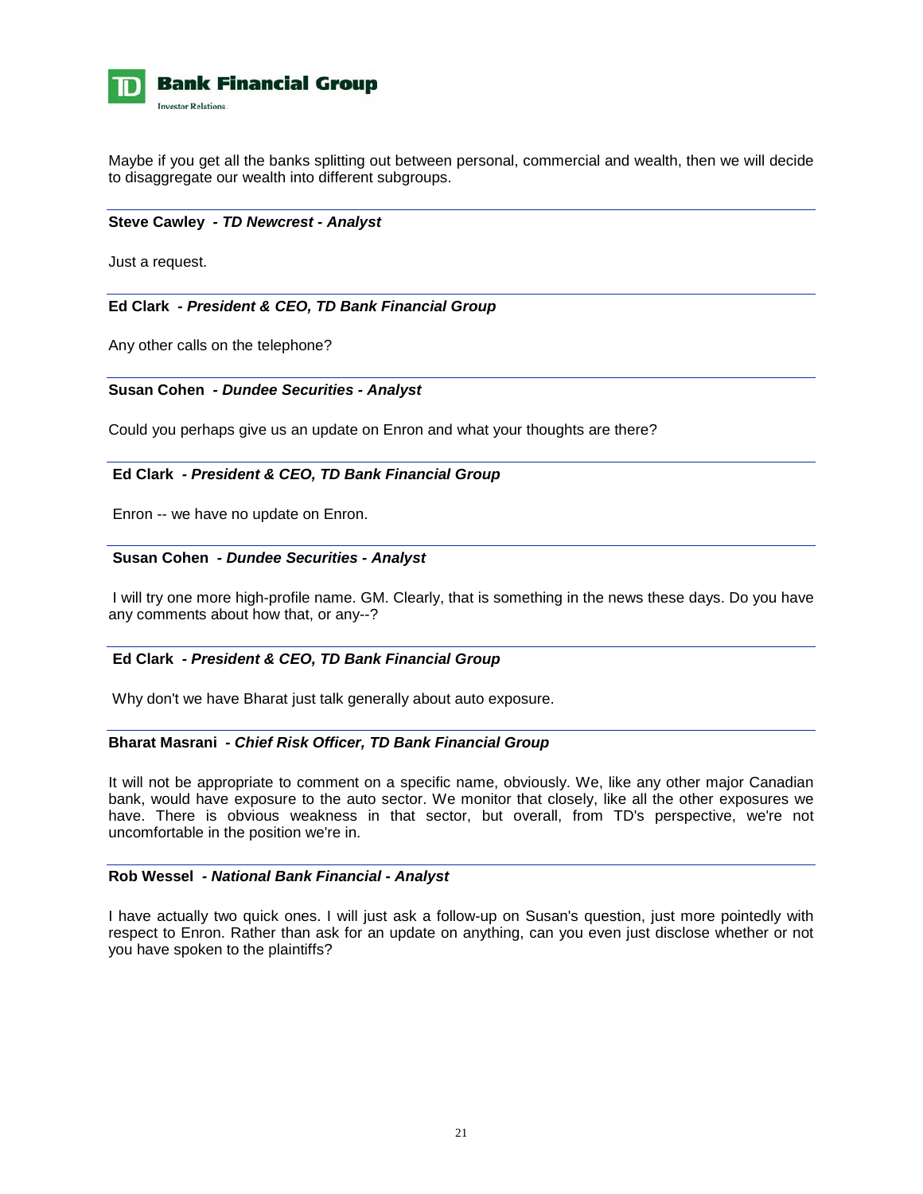

Maybe if you get all the banks splitting out between personal, commercial and wealth, then we will decide to disaggregate our wealth into different subgroups.

# **Steve Cawley** *- TD Newcrest - Analyst*

Just a request.

# **Ed Clark** *- President & CEO, TD Bank Financial Group*

Any other calls on the telephone?

#### **Susan Cohen** *- Dundee Securities - Analyst*

Could you perhaps give us an update on Enron and what your thoughts are there?

#### **Ed Clark** *- President & CEO, TD Bank Financial Group*

Enron -- we have no update on Enron.

#### **Susan Cohen** *- Dundee Securities - Analyst*

 I will try one more high-profile name. GM. Clearly, that is something in the news these days. Do you have any comments about how that, or any--?

# **Ed Clark** *- President & CEO, TD Bank Financial Group*

Why don't we have Bharat just talk generally about auto exposure.

#### **Bharat Masrani** *- Chief Risk Officer, TD Bank Financial Group*

It will not be appropriate to comment on a specific name, obviously. We, like any other major Canadian bank, would have exposure to the auto sector. We monitor that closely, like all the other exposures we have. There is obvious weakness in that sector, but overall, from TD's perspective, we're not uncomfortable in the position we're in.

#### **Rob Wessel** *- National Bank Financial - Analyst*

I have actually two quick ones. I will just ask a follow-up on Susan's question, just more pointedly with respect to Enron. Rather than ask for an update on anything, can you even just disclose whether or not you have spoken to the plaintiffs?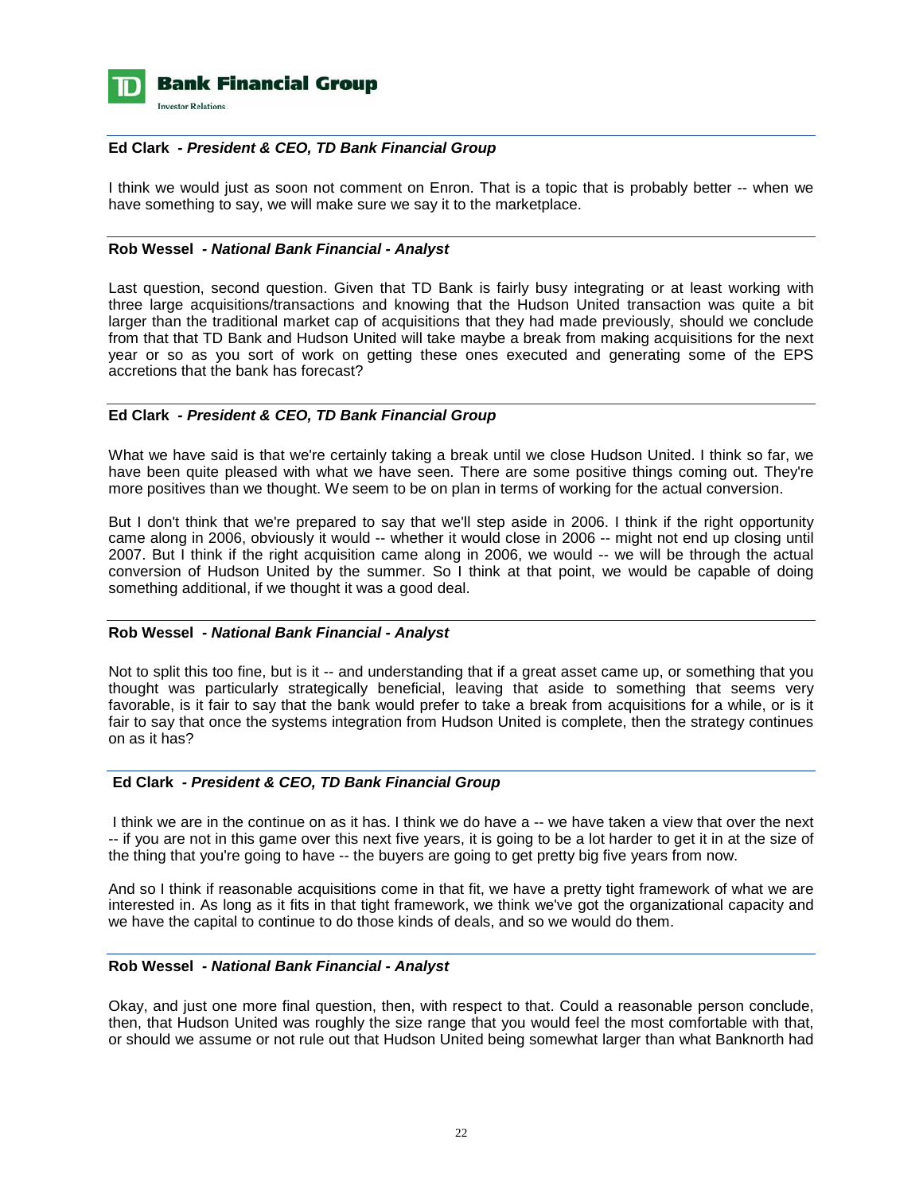

# **Ed Clark** *- President & CEO, TD Bank Financial Group*

I think we would just as soon not comment on Enron. That is a topic that is probably better -- when we have something to say, we will make sure we say it to the marketplace.

### **Rob Wessel** *- National Bank Financial - Analyst*

Last question, second question. Given that TD Bank is fairly busy integrating or at least working with three large acquisitions/transactions and knowing that the Hudson United transaction was quite a bit larger than the traditional market cap of acquisitions that they had made previously, should we conclude from that that TD Bank and Hudson United will take maybe a break from making acquisitions for the next year or so as you sort of work on getting these ones executed and generating some of the EPS accretions that the bank has forecast?

# **Ed Clark** *- President & CEO, TD Bank Financial Group*

What we have said is that we're certainly taking a break until we close Hudson United. I think so far, we have been quite pleased with what we have seen. There are some positive things coming out. They're more positives than we thought. We seem to be on plan in terms of working for the actual conversion.

But I don't think that we're prepared to say that we'll step aside in 2006. I think if the right opportunity came along in 2006, obviously it would -- whether it would close in 2006 -- might not end up closing until 2007. But I think if the right acquisition came along in 2006, we would -- we will be through the actual conversion of Hudson United by the summer. So I think at that point, we would be capable of doing something additional, if we thought it was a good deal.

#### **Rob Wessel** *- National Bank Financial - Analyst*

Not to split this too fine, but is it -- and understanding that if a great asset came up, or something that you thought was particularly strategically beneficial, leaving that aside to something that seems very favorable, is it fair to say that the bank would prefer to take a break from acquisitions for a while, or is it fair to say that once the systems integration from Hudson United is complete, then the strategy continues on as it has?

# **Ed Clark** *- President & CEO, TD Bank Financial Group*

 I think we are in the continue on as it has. I think we do have a -- we have taken a view that over the next -- if you are not in this game over this next five years, it is going to be a lot harder to get it in at the size of the thing that you're going to have -- the buyers are going to get pretty big five years from now.

And so I think if reasonable acquisitions come in that fit, we have a pretty tight framework of what we are interested in. As long as it fits in that tight framework, we think we've got the organizational capacity and we have the capital to continue to do those kinds of deals, and so we would do them.

#### **Rob Wessel** *- National Bank Financial - Analyst*

Okay, and just one more final question, then, with respect to that. Could a reasonable person conclude, then, that Hudson United was roughly the size range that you would feel the most comfortable with that, or should we assume or not rule out that Hudson United being somewhat larger than what Banknorth had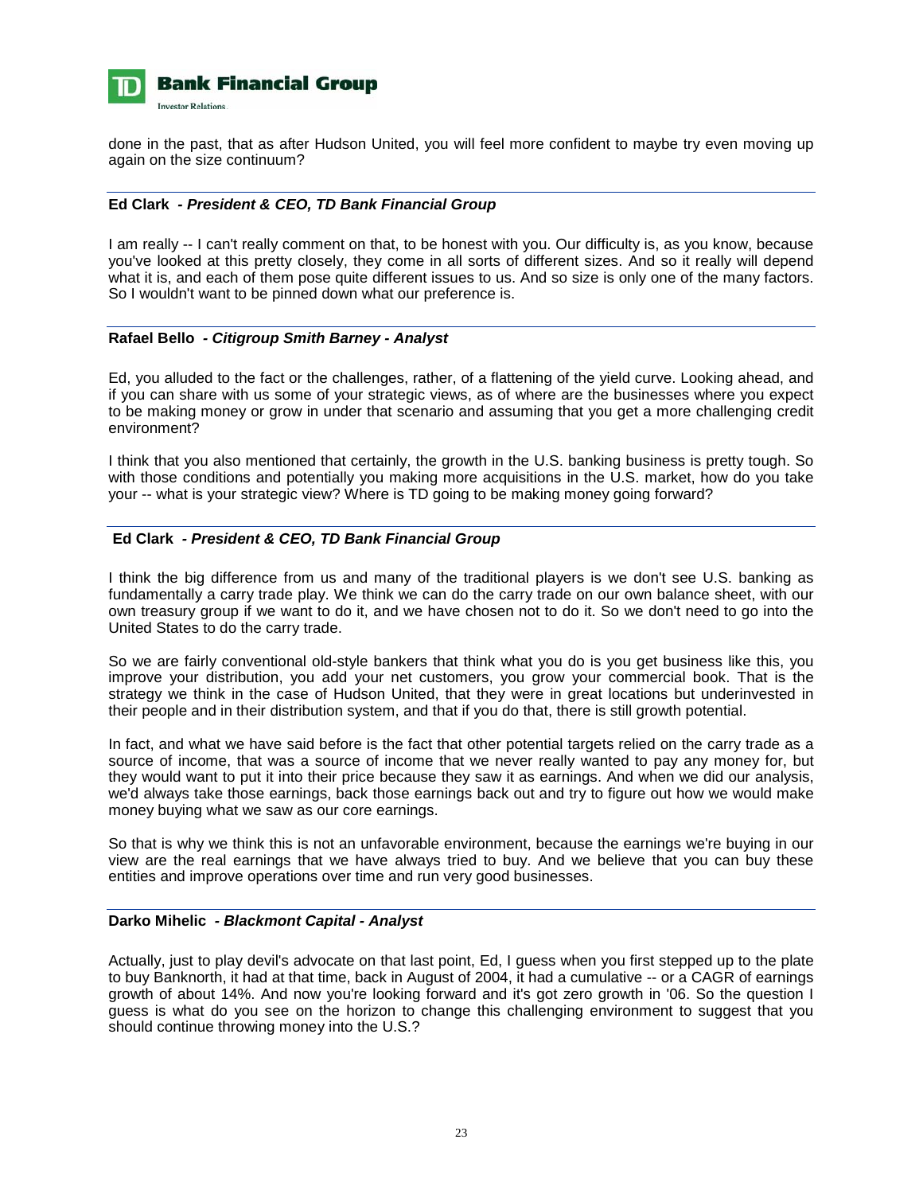

done in the past, that as after Hudson United, you will feel more confident to maybe try even moving up again on the size continuum?

# **Ed Clark** *- President & CEO, TD Bank Financial Group*

I am really -- I can't really comment on that, to be honest with you. Our difficulty is, as you know, because you've looked at this pretty closely, they come in all sorts of different sizes. And so it really will depend what it is, and each of them pose quite different issues to us. And so size is only one of the many factors. So I wouldn't want to be pinned down what our preference is.

# **Rafael Bello** *- Citigroup Smith Barney - Analyst*

Ed, you alluded to the fact or the challenges, rather, of a flattening of the yield curve. Looking ahead, and if you can share with us some of your strategic views, as of where are the businesses where you expect to be making money or grow in under that scenario and assuming that you get a more challenging credit environment?

I think that you also mentioned that certainly, the growth in the U.S. banking business is pretty tough. So with those conditions and potentially you making more acquisitions in the U.S. market, how do you take your -- what is your strategic view? Where is TD going to be making money going forward?

# **Ed Clark** *- President & CEO, TD Bank Financial Group*

I think the big difference from us and many of the traditional players is we don't see U.S. banking as fundamentally a carry trade play. We think we can do the carry trade on our own balance sheet, with our own treasury group if we want to do it, and we have chosen not to do it. So we don't need to go into the United States to do the carry trade.

So we are fairly conventional old-style bankers that think what you do is you get business like this, you improve your distribution, you add your net customers, you grow your commercial book. That is the strategy we think in the case of Hudson United, that they were in great locations but underinvested in their people and in their distribution system, and that if you do that, there is still growth potential.

In fact, and what we have said before is the fact that other potential targets relied on the carry trade as a source of income, that was a source of income that we never really wanted to pay any money for, but they would want to put it into their price because they saw it as earnings. And when we did our analysis, we'd always take those earnings, back those earnings back out and try to figure out how we would make money buying what we saw as our core earnings.

So that is why we think this is not an unfavorable environment, because the earnings we're buying in our view are the real earnings that we have always tried to buy. And we believe that you can buy these entities and improve operations over time and run very good businesses.

#### **Darko Mihelic** *- Blackmont Capital - Analyst*

Actually, just to play devil's advocate on that last point, Ed, I guess when you first stepped up to the plate to buy Banknorth, it had at that time, back in August of 2004, it had a cumulative -- or a CAGR of earnings growth of about 14%. And now you're looking forward and it's got zero growth in '06. So the question I guess is what do you see on the horizon to change this challenging environment to suggest that you should continue throwing money into the U.S.?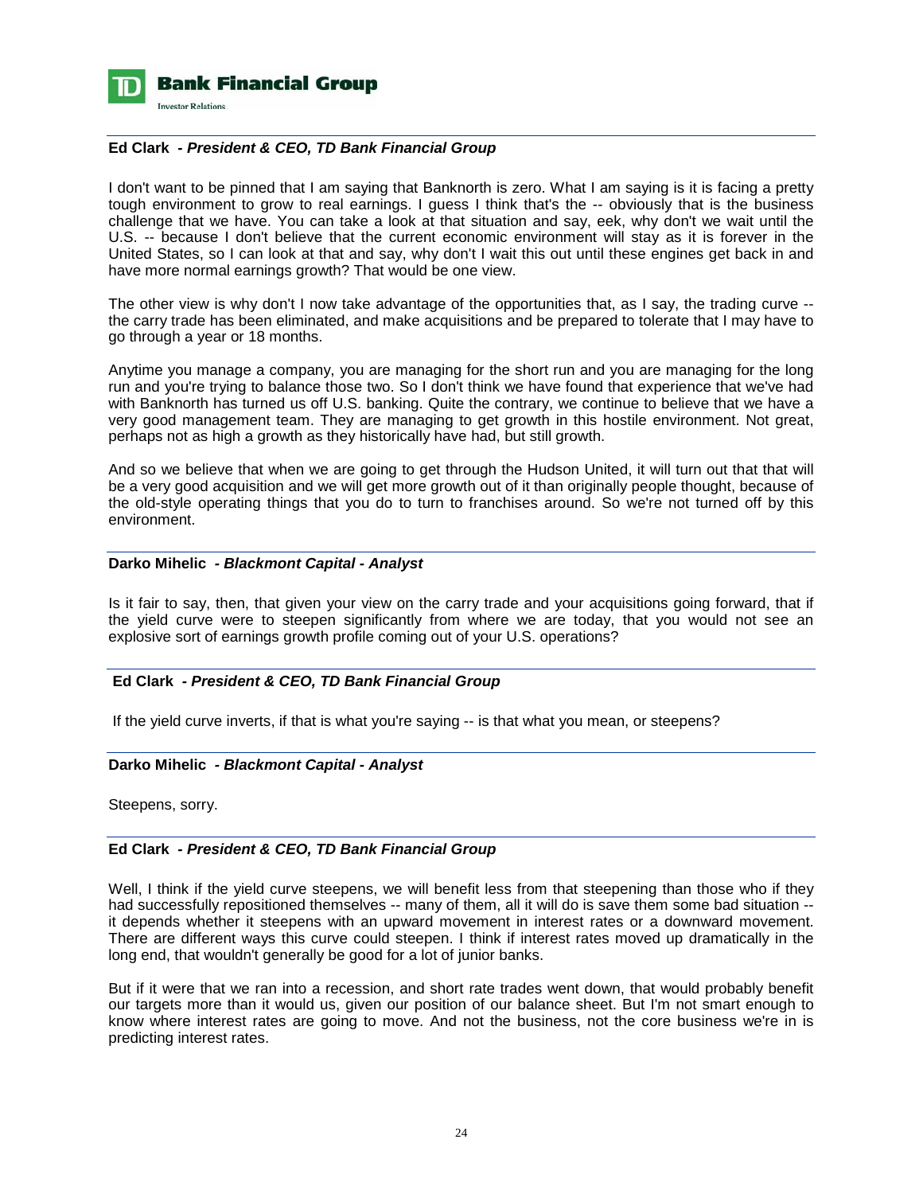

# **Ed Clark** *- President & CEO, TD Bank Financial Group*

I don't want to be pinned that I am saying that Banknorth is zero. What I am saying is it is facing a pretty tough environment to grow to real earnings. I guess I think that's the -- obviously that is the business challenge that we have. You can take a look at that situation and say, eek, why don't we wait until the U.S. -- because I don't believe that the current economic environment will stay as it is forever in the United States, so I can look at that and say, why don't I wait this out until these engines get back in and have more normal earnings growth? That would be one view.

The other view is why don't I now take advantage of the opportunities that, as I say, the trading curve - the carry trade has been eliminated, and make acquisitions and be prepared to tolerate that I may have to go through a year or 18 months.

Anytime you manage a company, you are managing for the short run and you are managing for the long run and you're trying to balance those two. So I don't think we have found that experience that we've had with Banknorth has turned us off U.S. banking. Quite the contrary, we continue to believe that we have a very good management team. They are managing to get growth in this hostile environment. Not great, perhaps not as high a growth as they historically have had, but still growth.

And so we believe that when we are going to get through the Hudson United, it will turn out that that will be a very good acquisition and we will get more growth out of it than originally people thought, because of the old-style operating things that you do to turn to franchises around. So we're not turned off by this environment.

# **Darko Mihelic** *- Blackmont Capital - Analyst*

Is it fair to say, then, that given your view on the carry trade and your acquisitions going forward, that if the yield curve were to steepen significantly from where we are today, that you would not see an explosive sort of earnings growth profile coming out of your U.S. operations?

# **Ed Clark** *- President & CEO, TD Bank Financial Group*

If the yield curve inverts, if that is what you're saying -- is that what you mean, or steepens?

#### **Darko Mihelic** *- Blackmont Capital - Analyst*

Steepens, sorry.

#### **Ed Clark** *- President & CEO, TD Bank Financial Group*

Well, I think if the yield curve steepens, we will benefit less from that steepening than those who if they had successfully repositioned themselves -- many of them, all it will do is save them some bad situation -it depends whether it steepens with an upward movement in interest rates or a downward movement. There are different ways this curve could steepen. I think if interest rates moved up dramatically in the long end, that wouldn't generally be good for a lot of junior banks.

But if it were that we ran into a recession, and short rate trades went down, that would probably benefit our targets more than it would us, given our position of our balance sheet. But I'm not smart enough to know where interest rates are going to move. And not the business, not the core business we're in is predicting interest rates.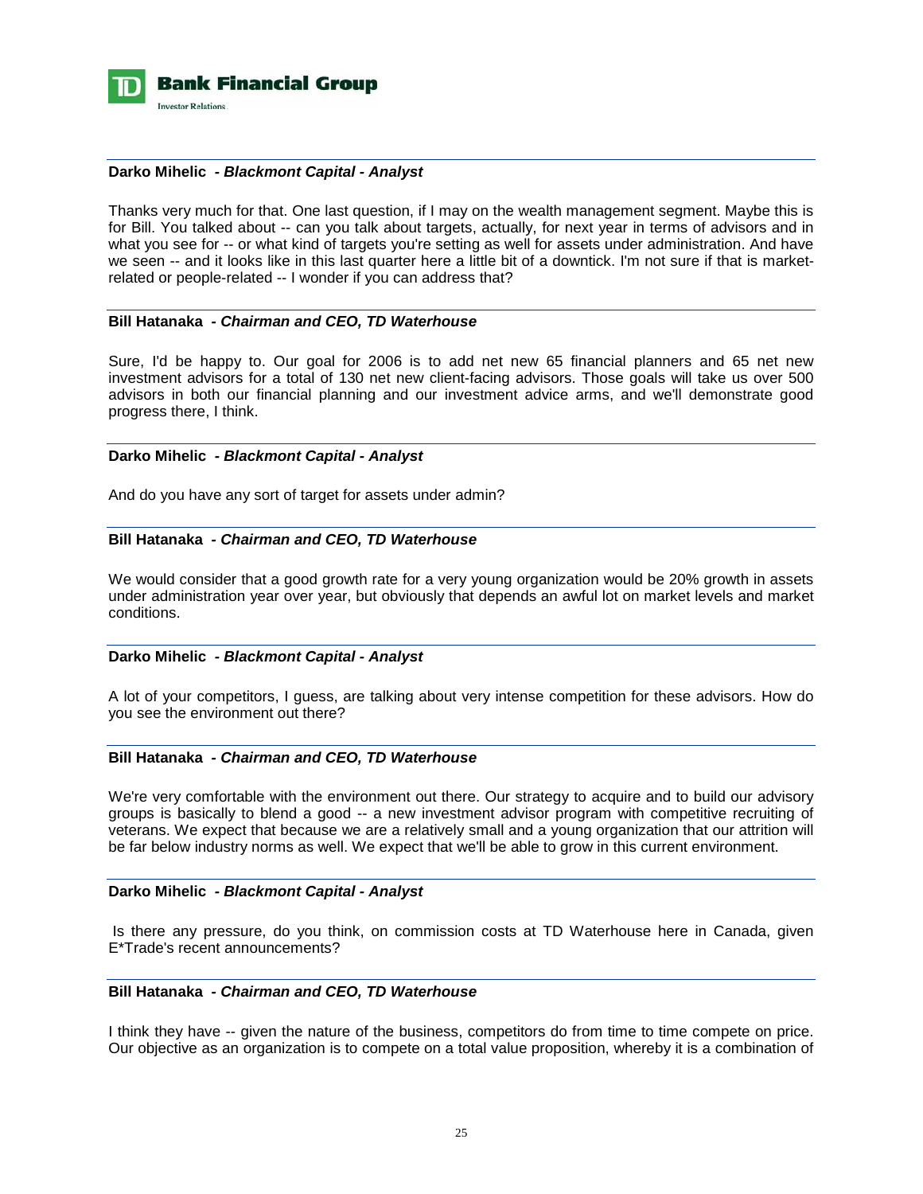

### **Darko Mihelic** *- Blackmont Capital - Analyst*

Thanks very much for that. One last question, if I may on the wealth management segment. Maybe this is for Bill. You talked about -- can you talk about targets, actually, for next year in terms of advisors and in what you see for -- or what kind of targets you're setting as well for assets under administration. And have we seen -- and it looks like in this last quarter here a little bit of a downtick. I'm not sure if that is marketrelated or people-related -- I wonder if you can address that?

# **Bill Hatanaka** *- Chairman and CEO, TD Waterhouse*

Sure, I'd be happy to. Our goal for 2006 is to add net new 65 financial planners and 65 net new investment advisors for a total of 130 net new client-facing advisors. Those goals will take us over 500 advisors in both our financial planning and our investment advice arms, and we'll demonstrate good progress there, I think.

# **Darko Mihelic** *- Blackmont Capital - Analyst*

And do you have any sort of target for assets under admin?

# **Bill Hatanaka** *- Chairman and CEO, TD Waterhouse*

We would consider that a good growth rate for a very young organization would be 20% growth in assets under administration year over year, but obviously that depends an awful lot on market levels and market conditions.

#### **Darko Mihelic** *- Blackmont Capital - Analyst*

A lot of your competitors, I guess, are talking about very intense competition for these advisors. How do you see the environment out there?

### **Bill Hatanaka** *- Chairman and CEO, TD Waterhouse*

We're very comfortable with the environment out there. Our strategy to acquire and to build our advisory groups is basically to blend a good -- a new investment advisor program with competitive recruiting of veterans. We expect that because we are a relatively small and a young organization that our attrition will be far below industry norms as well. We expect that we'll be able to grow in this current environment.

#### **Darko Mihelic** *- Blackmont Capital - Analyst*

 Is there any pressure, do you think, on commission costs at TD Waterhouse here in Canada, given E\*Trade's recent announcements?

# **Bill Hatanaka** *- Chairman and CEO, TD Waterhouse*

I think they have -- given the nature of the business, competitors do from time to time compete on price. Our objective as an organization is to compete on a total value proposition, whereby it is a combination of